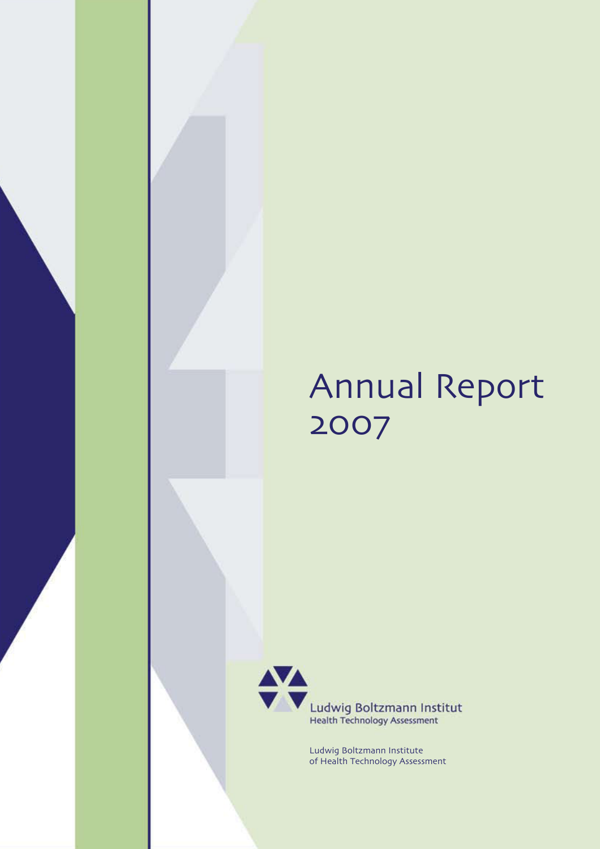# Annual Report 2007



Ludwig Boltzmann Institute of Health Technology Assessment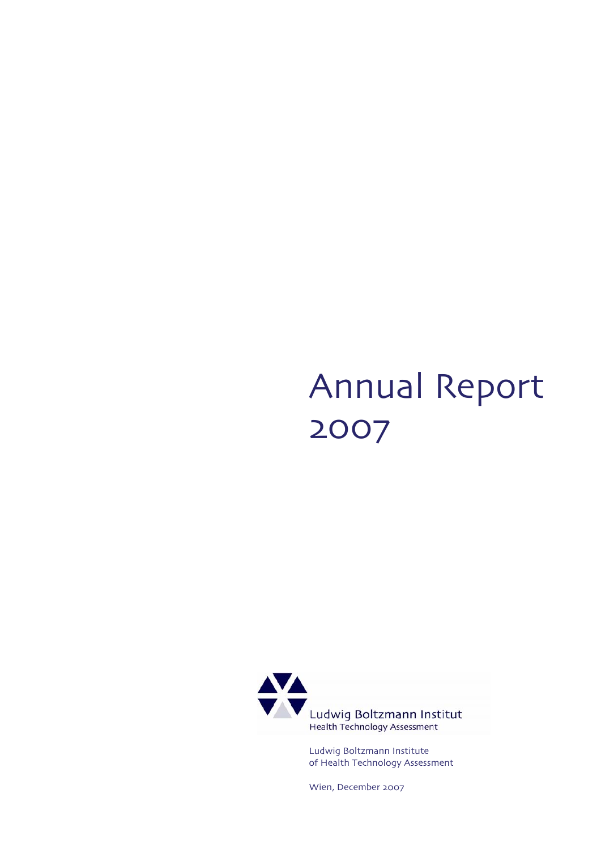# Annual Report 2007



Ludwig Boltzmann Institute of Health Technology Assessment

Wien, December 2007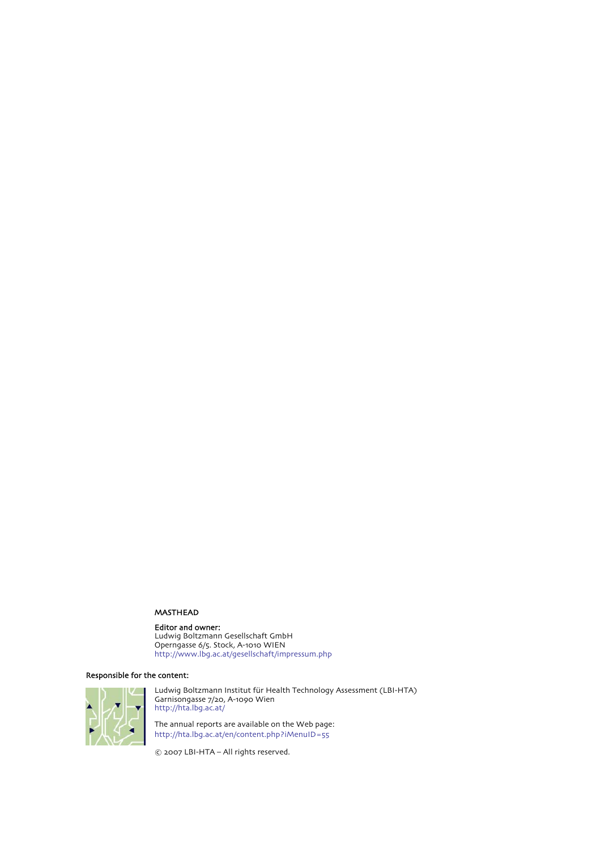#### MASTHEAD

#### Editor and owner:

Ludwig Boltzmann Gesellschaft GmbH Operngasse 6/5. Stock, A-1010 WIEN http://www.lbg.ac.at/gesellschaft/impressum.php

#### Responsible for the content:



Ludwig Boltzmann Institut für Health Technology Assessment (LBI-HTA) Garnisongasse 7/20, A-1090 Wien http://hta.lbg.ac.at/

The annual reports are available on the Web page: http://hta.lbg.ac.at/en/content.php?iMenuID=55

© 2007 LBI-HTA – All rights reserved.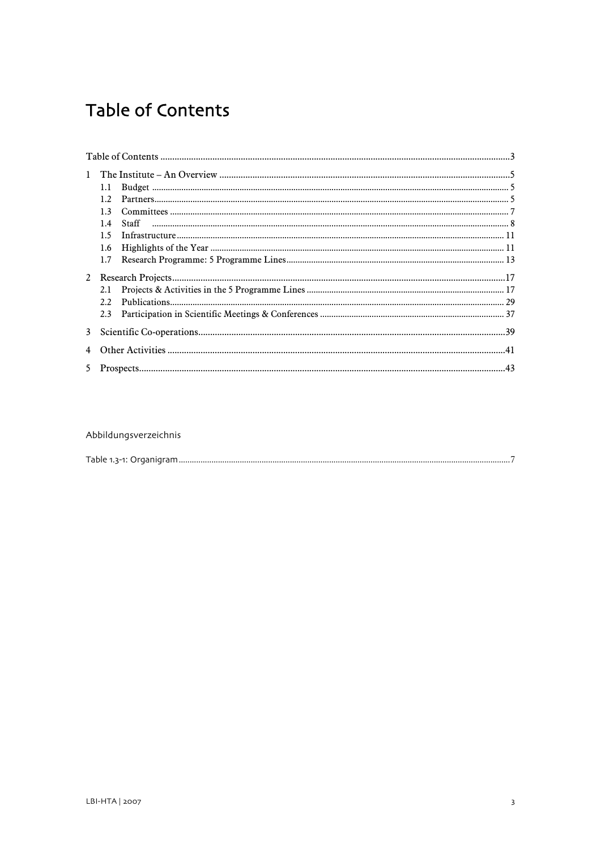# <span id="page-4-0"></span>**Table of Contents**

|              | 1.1            |  |  |
|--------------|----------------|--|--|
|              | 12             |  |  |
|              | 1 <sup>2</sup> |  |  |
|              | 1.4            |  |  |
|              | 15             |  |  |
|              | 1.6            |  |  |
|              | 1.7            |  |  |
|              |                |  |  |
|              | 2.1            |  |  |
|              | 22             |  |  |
|              | 2.3            |  |  |
| $\mathbf{3}$ |                |  |  |
|              |                |  |  |
| 5            |                |  |  |

#### Abbildungsverzeichnis

| oraar<br>. LADIA 1-2-1' |
|-------------------------|
|-------------------------|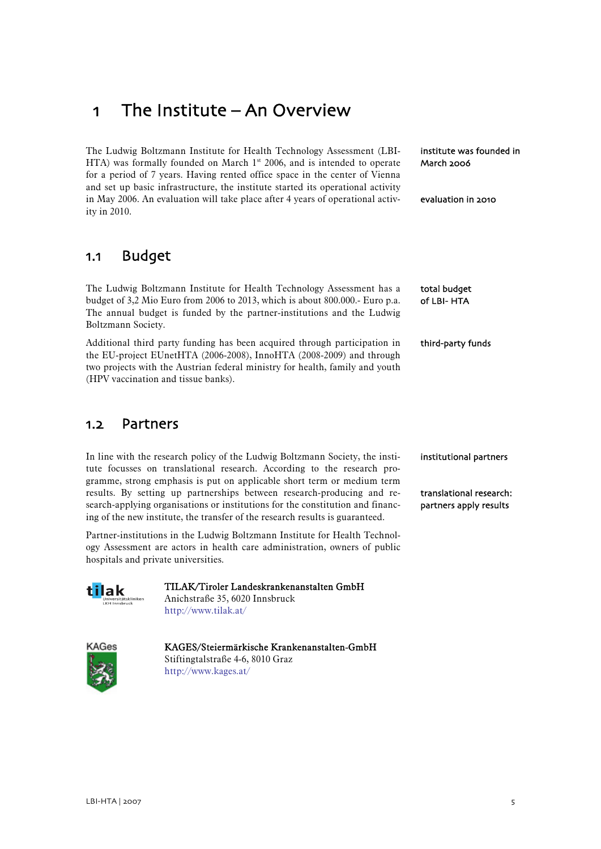# <span id="page-6-0"></span>1 The Institute – An Overview

The Ludwig Boltzmann Institute for Health Technology Assessment (LBI-HTA) was formally founded on March  $1<sup>st</sup>$  2006, and is intended to operate for a period of 7 years. Having rented office space in the center of Vienna and set up basic infrastructure, the institute started its operational activity in May 2006. An evaluation will take place after 4 years of operational activity in 2010.

1.1 Budget

The Ludwig Boltzmann Institute for Health Technology Assessment has a budget of 3,2 Mio Euro from 2006 to 2013, which is about 800.000.- Euro p.a. The annual budget is funded by the partner-institutions and the Ludwig Boltzmann Society.

Additional third party funding has been acquired through participation in the EU-project EUnetHTA (2006-2008), InnoHTA (2008-2009) and through two projects with the Austrian federal ministry for health, family and youth (HPV vaccination and tissue banks).

### 1.2 Partners

In line with the research policy of the Ludwig Boltzmann Society, the institute focusses on translational research. According to the research programme, strong emphasis is put on applicable short term or medium term results. By setting up partnerships between research-producing and research-applying organisations or institutions for the constitution and financing of the new institute, the transfer of the research results is guaranteed.

Partner-institutions in the Ludwig Boltzmann Institute for Health Technology Assessment are actors in health care administration, owners of public hospitals and private universities.



TILAK/Tiroler Landeskrankenanstalten GmbH Anichstraße 35, 6020 Innsbruck http://www.tilak.at/



KAGES/Steiermärkische Krankenanstalten-GmbH Stiftingtalstraße 4-6, 8010 Graz

http://www.kages.at/

institute was founded in March 2006

evaluation in 2010

total budget of LBI- HTA

third-party funds

institutional partners

translational research: partners apply results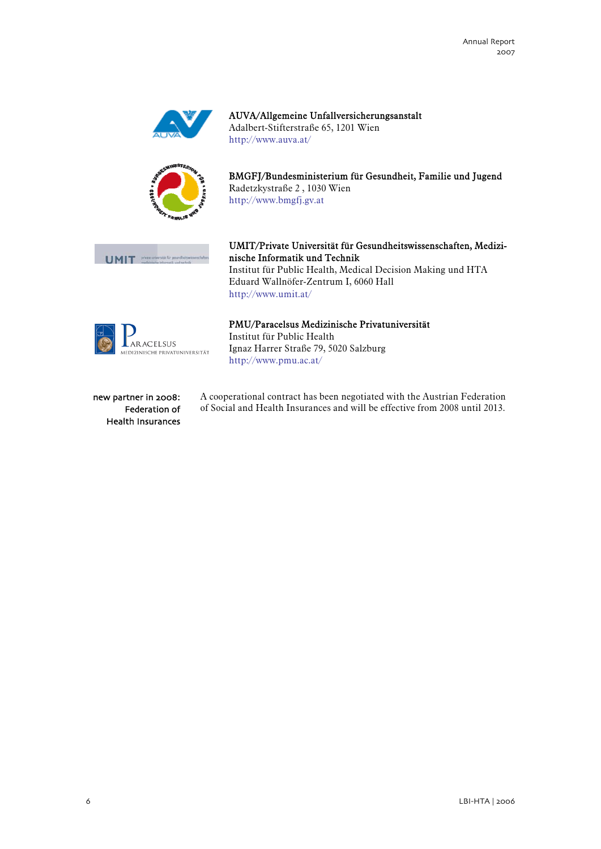

AUVA/Allgemeine Unfallversicherungsanstalt Adalbert-Stifterstraße 65, 1201 Wien http://www.auva.at/



BMGFJ/Bundesministerium für Gesundheit, Familie und Jugend Radetzkystraße 2 , 1030 Wien http://www.bmgfj.gv.at



UMIT/Private Universität für Gesundheitswissenschaften, Medizinische Informatik und Technik Institut für Public Health, Medical Decision Making und HTA Eduard Wallnöfer-Zentrum I, 6060 Hall http://www.umit.at/



### PMU/Paracelsus Medizinische Privatuniversität

Institut für Public Health Ignaz Harrer Straße 79, 5020 Salzburg http://www.pmu.ac.at/

new partner in 2008: Federation of Health Insurances A cooperational contract has been negotiated with the Austrian Federation of Social and Health Insurances and will be effective from 2008 until 2013.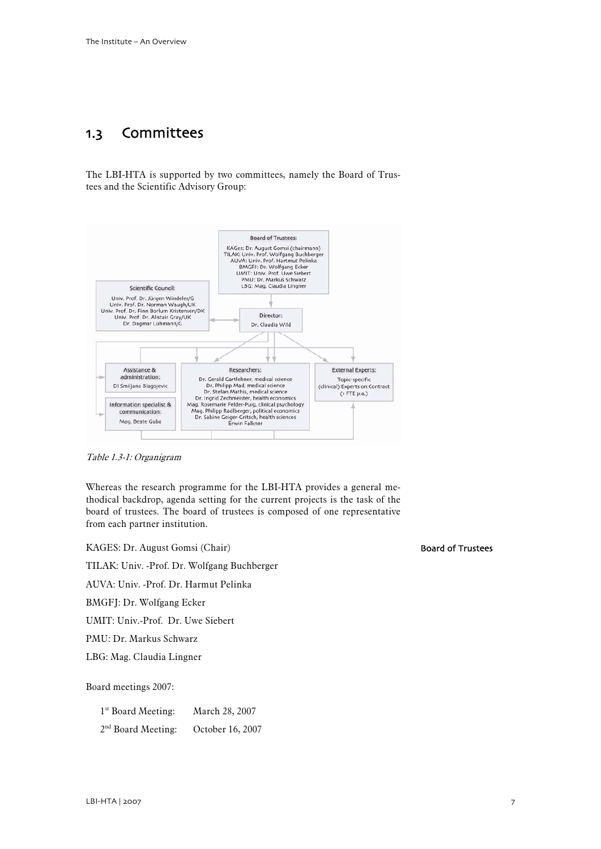# <span id="page-8-0"></span>1.3 Committees

The LBI-HTA is supported by two committees, namely the Board of Trustees and the Scientific Advisory Group:



Table 1.3-1: Organigram

Whereas the research programme for the LBI-HTA provides a general methodical backdrop, agenda setting for the current projects is the task of the board of trustees. The board of trustees is composed of one representative from each partner institution.

KAGES: Dr. August Gomsi (Chair) TILAK: Univ. -Prof. Dr. Wolfgang Buchberger AUVA: Univ. -Prof. Dr. Harmut Pelinka

BMGFJ: Dr. Wolfgang Ecker

UMIT: Univ.-Prof. Dr. Uwe Siebert

PMU: Dr. Markus Schwarz

LBG: Mag. Claudia Lingner

Board meetings 2007:

1st Board Meeting: March 28, 2007 2<sup>nd</sup> Board Meeting: October 16, 2007 Board of Trustees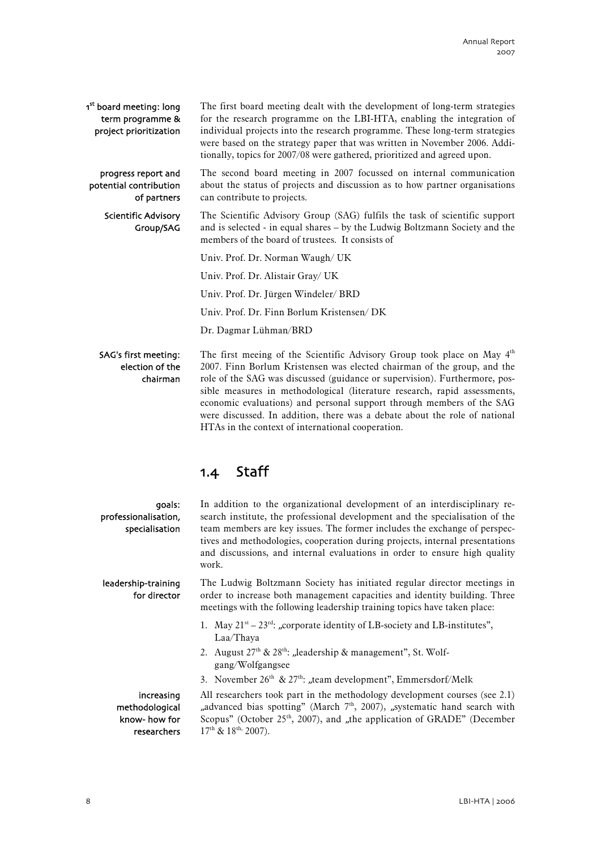<span id="page-9-0"></span>The first board meeting dealt with the development of long-term strategies for the research programme on the LBI-HTA, enabling the integration of individual projects into the research programme. These long-term strategies were based on the strategy paper that was written in November 2006. Additionally, topics for 2007/08 were gathered, prioritized and agreed upon. 1<sup>st</sup> board meeting: long term programme & project prioritization

The second board meeting in 2007 focussed on internal communication about the status of projects and discussion as to how partner organisations can contribute to projects. progress report and potential contribution of partners

The Scientific Advisory Group (SAG) fulfils the task of scientific support and is selected - in equal shares – by the Ludwig Boltzmann Society and the members of the board of trustees. It consists of Scientific Advisory Group/SAG

Univ. Prof. Dr. Norman Waugh/ UK

Univ. Prof. Dr. Alistair Gray/ UK

Univ. Prof. Dr. Jürgen Windeler/ BRD

Univ. Prof. Dr. Finn Borlum Kristensen/ DK

Dr. Dagmar Lühman/BRD

#### SAG's first meeting: election of the chairman

The first meeing of the Scientific Advisory Group took place on May  $4<sup>th</sup>$ 2007. Finn Borlum Kristensen was elected chairman of the group, and the role of the SAG was discussed (guidance or supervision). Furthermore, possible measures in methodological (literature research, rapid assessments, economic evaluations) and personal support through members of the SAG were discussed. In addition, there was a debate about the role of national HTAs in the context of international cooperation.

## 1.4 Staff

goals: professionalisation, specialisation

leadership-training for director

search institute, the professional development and the specialisation of the team members are key issues. The former includes the exchange of perspectives and methodologies, cooperation during projects, internal presentations and discussions, and internal evaluations in order to ensure high quality work.

In addition to the organizational development of an interdisciplinary re-

The Ludwig Boltzmann Society has initiated regular director meetings in order to increase both management capacities and identity building. Three meetings with the following leadership training topics have taken place:

- 1. May  $21^{st} 23^{rd}$ : "corporate identity of LB-society and LB-institutes", Laa/Thaya
- 2. August  $27<sup>th</sup>$  &  $28<sup>th</sup>$ : "leadership & management", St. Wolfgang/Wolfgangsee
- 3. November  $26<sup>th</sup>$  &  $27<sup>th</sup>$ : "team development", Emmersdorf/Melk

increasing methodological know- how for researchers

All researchers took part in the methodology development courses (see 2.1) "advanced bias spotting" (March 7<sup>th</sup>, 2007), "systematic hand search with Scopus" (October  $25<sup>th</sup>$ , 2007), and "the application of GRADE" (December  $17^{\text{th}}$  &  $18^{\text{th}}$ , 2007).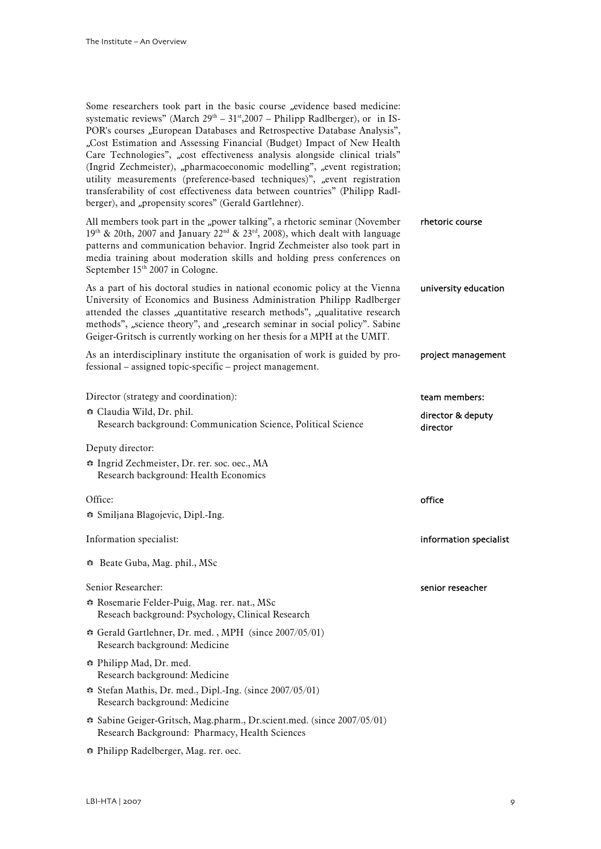| Some researchers took part in the basic course "evidence based medicine:<br>systematic reviews" (March $29th - 31st$ , 2007 – Philipp Radlberger), or in IS-<br>POR's courses "European Databases and Retrospective Database Analysis",<br>"Cost Estimation and Assessing Financial (Budget) Impact of New Health<br>Care Technologies", "cost effectiveness analysis alongside clinical trials"<br>(Ingrid Zechmeister), "pharmacoeconomic modelling", "event registration;<br>utility measurements (preference-based techniques)", "event registration<br>transferability of cost effectiveness data between countries" (Philipp Radl-<br>berger), and "propensity scores" (Gerald Gartlehner). |                               |
|---------------------------------------------------------------------------------------------------------------------------------------------------------------------------------------------------------------------------------------------------------------------------------------------------------------------------------------------------------------------------------------------------------------------------------------------------------------------------------------------------------------------------------------------------------------------------------------------------------------------------------------------------------------------------------------------------|-------------------------------|
| All members took part in the "power talking", a rhetoric seminar (November<br>19th & 20th, 2007 and January 22 <sup>nd</sup> & 23 <sup>rd</sup> , 2008), which dealt with language<br>patterns and communication behavior. Ingrid Zechmeister also took part in<br>media training about moderation skills and holding press conferences on<br>September 15th 2007 in Cologne.                                                                                                                                                                                                                                                                                                                     | rhetoric course               |
| As a part of his doctoral studies in national economic policy at the Vienna<br>University of Economics and Business Administration Philipp Radlberger<br>attended the classes "quantitative research methods", "qualitative research<br>methods", "science theory", and "research seminar in social policy". Sabine<br>Geiger-Gritsch is currently working on her thesis for a MPH at the UMIT.                                                                                                                                                                                                                                                                                                   | university education          |
| As an interdisciplinary institute the organisation of work is guided by pro-<br>fessional – assigned topic-specific – project management.                                                                                                                                                                                                                                                                                                                                                                                                                                                                                                                                                         | project management            |
| Director (strategy and coordination):                                                                                                                                                                                                                                                                                                                                                                                                                                                                                                                                                                                                                                                             | team members:                 |
| ↔ Claudia Wild, Dr. phil.<br>Research background: Communication Science, Political Science                                                                                                                                                                                                                                                                                                                                                                                                                                                                                                                                                                                                        | director & deputy<br>director |
| Deputy director:                                                                                                                                                                                                                                                                                                                                                                                                                                                                                                                                                                                                                                                                                  |                               |
| ☆ Ingrid Zechmeister, Dr. rer. soc. oec., MA<br>Research background: Health Economics                                                                                                                                                                                                                                                                                                                                                                                                                                                                                                                                                                                                             |                               |
| Office:                                                                                                                                                                                                                                                                                                                                                                                                                                                                                                                                                                                                                                                                                           | office                        |
| Smiljana Blagojevic, Dipl.-Ing.                                                                                                                                                                                                                                                                                                                                                                                                                                                                                                                                                                                                                                                                   |                               |
| Information specialist:                                                                                                                                                                                                                                                                                                                                                                                                                                                                                                                                                                                                                                                                           | information specialist        |
| Beate Guba, Mag. phil., MSc                                                                                                                                                                                                                                                                                                                                                                                                                                                                                                                                                                                                                                                                       |                               |
| Senior Researcher:                                                                                                                                                                                                                                                                                                                                                                                                                                                                                                                                                                                                                                                                                | senior reseacher              |
| ☆ Rosemarie Felder-Puig, Mag. rer. nat., MSc<br>Reseach background: Psychology, Clinical Research                                                                                                                                                                                                                                                                                                                                                                                                                                                                                                                                                                                                 |                               |
| Gerald Gartlehner, Dr. med., MPH (since 2007/05/01)<br>Research background: Medicine                                                                                                                                                                                                                                                                                                                                                                                                                                                                                                                                                                                                              |                               |
| ↔ Philipp Mad, Dr. med.<br>Research background: Medicine                                                                                                                                                                                                                                                                                                                                                                                                                                                                                                                                                                                                                                          |                               |
|                                                                                                                                                                                                                                                                                                                                                                                                                                                                                                                                                                                                                                                                                                   |                               |

- b Stefan Mathis, Dr. med., Dipl.-Ing. (since 2007/05/01) Research background: Medicine
- b Sabine Geiger-Gritsch, Mag.pharm., Dr.scient.med. (since 2007/05/01) Research Background: Pharmacy, Health Sciences

b Philipp Radelberger, Mag. rer. oec.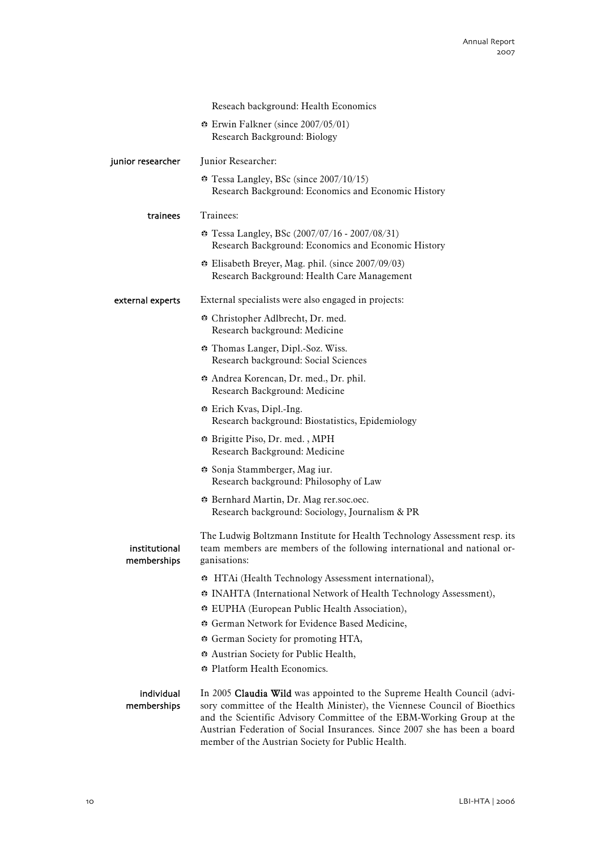|                              | Reseach background: Health Economics                                                                                                                                                                                                                                                                                                                            |
|------------------------------|-----------------------------------------------------------------------------------------------------------------------------------------------------------------------------------------------------------------------------------------------------------------------------------------------------------------------------------------------------------------|
|                              | $\div$ Erwin Falkner (since 2007/05/01)<br>Research Background: Biology                                                                                                                                                                                                                                                                                         |
| junior researcher            | Junior Researcher:                                                                                                                                                                                                                                                                                                                                              |
|                              | Tessa Langley, BSc (since 2007/10/15)<br>Research Background: Economics and Economic History                                                                                                                                                                                                                                                                    |
| trainees                     | Trainees:                                                                                                                                                                                                                                                                                                                                                       |
|                              | <b> • Tessa Langley, BSc</b> (2007/07/16 - 2007/08/31)<br>Research Background: Economics and Economic History                                                                                                                                                                                                                                                   |
|                              | <b>.</b> Elisabeth Breyer, Mag. phil. (since 2007/09/03)<br>Research Background: Health Care Management                                                                                                                                                                                                                                                         |
| external experts             | External specialists were also engaged in projects:                                                                                                                                                                                                                                                                                                             |
|                              | ↔ Christopher Adlbrecht, Dr. med.<br>Research background: Medicine                                                                                                                                                                                                                                                                                              |
|                              | Thomas Langer, Dipl.-Soz. Wiss.<br>Research background: Social Sciences                                                                                                                                                                                                                                                                                         |
|                              | Andrea Korencan, Dr. med., Dr. phil.<br>Research Background: Medicine                                                                                                                                                                                                                                                                                           |
|                              | * Erich Kvas, Dipl.-Ing.<br>Research background: Biostatistics, Epidemiology                                                                                                                                                                                                                                                                                    |
|                              | * Brigitte Piso, Dr. med., MPH<br>Research Background: Medicine                                                                                                                                                                                                                                                                                                 |
|                              | * Sonja Stammberger, Mag iur.<br>Research background: Philosophy of Law                                                                                                                                                                                                                                                                                         |
|                              | <b>Bernhard Martin, Dr. Mag rer.soc.oec.</b><br>Research background: Sociology, Journalism & PR                                                                                                                                                                                                                                                                 |
| institutional<br>memberships | The Ludwig Boltzmann Institute for Health Technology Assessment resp. its<br>team members are members of the following international and national or-<br>ganisations:                                                                                                                                                                                           |
|                              | HTAi (Health Technology Assessment international),                                                                                                                                                                                                                                                                                                              |
|                              | * INAHTA (International Network of Health Technology Assessment),                                                                                                                                                                                                                                                                                               |
|                              | <b>EUPHA</b> (European Public Health Association),                                                                                                                                                                                                                                                                                                              |
|                              | German Network for Evidence Based Medicine,                                                                                                                                                                                                                                                                                                                     |
|                              | German Society for promoting HTA,                                                                                                                                                                                                                                                                                                                               |
|                              | Austrian Society for Public Health,<br>Platform Health Economics.                                                                                                                                                                                                                                                                                               |
|                              |                                                                                                                                                                                                                                                                                                                                                                 |
| individual<br>memberships    | In 2005 Claudia Wild was appointed to the Supreme Health Council (advi-<br>sory committee of the Health Minister), the Viennese Council of Bioethics<br>and the Scientific Advisory Committee of the EBM-Working Group at the<br>Austrian Federation of Social Insurances. Since 2007 she has been a board<br>member of the Austrian Society for Public Health. |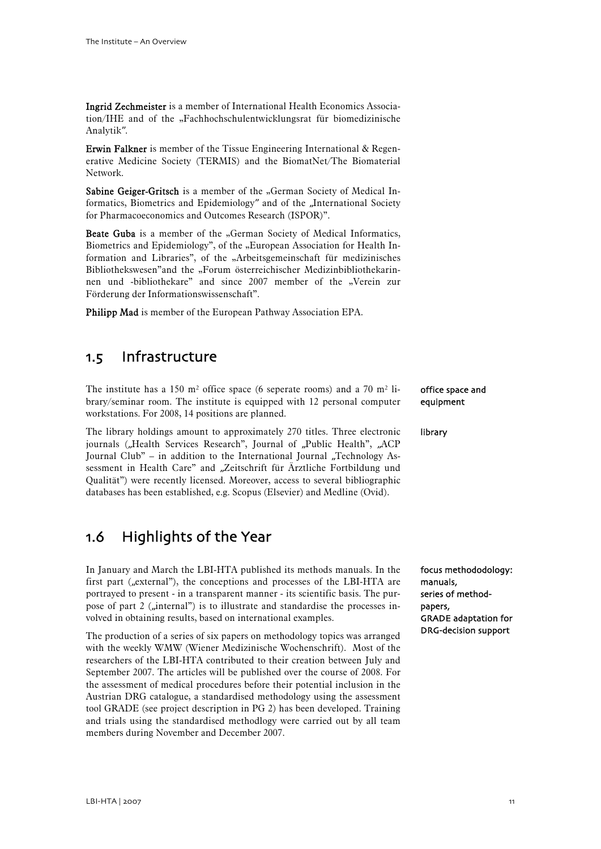<span id="page-12-0"></span>Ingrid Zechmeister is a member of International Health Economics Association/IHE and of the "Fachhochschulentwicklungsrat für biomedizinische Analytik".

Erwin Falkner is member of the Tissue Engineering International & Regenerative Medicine Society (TERMIS) and the BiomatNet/The Biomaterial Network.

Sabine Geiger-Gritsch is a member of the "German Society of Medical Informatics, Biometrics and Epidemiology" and of the "International Society for Pharmacoeconomics and Outcomes Research (ISPOR)".

Beate Guba is a member of the "German Society of Medical Informatics, Biometrics and Epidemiology", of the "European Association for Health Information and Libraries", of the "Arbeitsgemeinschaft für medizinisches Bibliothekswesen"and the "Forum österreichischer Medizinbibliothekarinnen und -bibliothekare" and since 2007 member of the "Verein zur Förderung der Informationswissenschaft".

Philipp Mad is member of the European Pathway Association EPA.

## 1.5 Infrastructure

The institute has a 150  $m^2$  office space (6 seperate rooms) and a 70  $m^2$  library/seminar room. The institute is equipped with 12 personal computer workstations. For 2008, 14 positions are planned.

The library holdings amount to approximately 270 titles. Three electronic journals ("Health Services Research", Journal of "Public Health", "ACP Journal Club" – in addition to the International Journal ..Technology Assessment in Health Care" and "Zeitschrift für Ärztliche Fortbildung und Qualität") were recently licensed. Moreover, access to several bibliographic databases has been established, e.g. Scopus (Elsevier) and Medline (Ovid).

# 1.6 Highlights of the Year

In January and March the LBI-HTA published its methods manuals. In the first part ("external"), the conceptions and processes of the LBI-HTA are portrayed to present - in a transparent manner - its scientific basis. The purpose of part 2 ("internal") is to illustrate and standardise the processes involved in obtaining results, based on international examples.

The production of a series of six papers on methodology topics was arranged with the weekly WMW (Wiener Medizinische Wochenschrift). Most of the researchers of the LBI-HTA contributed to their creation between July and September 2007. The articles will be published over the course of 2008. For the assessment of medical procedures before their potential inclusion in the Austrian DRG catalogue, a standardised methodology using the assessment tool GRADE (see project description in PG 2) has been developed. Training and trials using the standardised methodlogy were carried out by all team members during November and December 2007.

#### office space and equipment

#### library

focus methododology: manuals, series of methodpapers, GRADE adaptation for DRG-decision support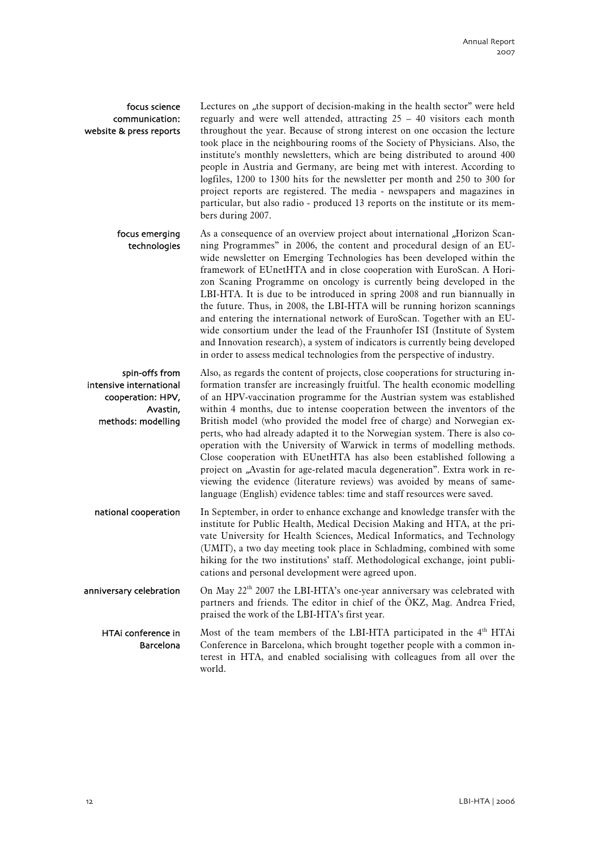#### focus science communication: website & press reports

Lectures on "the support of decision-making in the health sector" were held reguarly and were well attended, attracting 25 – 40 visitors each month throughout the year. Because of strong interest on one occasion the lecture took place in the neighbouring rooms of the Society of Physicians. Also, the institute's monthly newsletters, which are being distributed to around 400 people in Austria and Germany, are being met with interest. According to logfiles, 1200 to 1300 hits for the newsletter per month and 250 to 300 for project reports are registered. The media - newspapers and magazines in particular, but also radio - produced 13 reports on the institute or its members during 2007.

As a consequence of an overview project about international "Horizon Scanning Programmes" in 2006, the content and procedural design of an EUwide newsletter on Emerging Technologies has been developed within the framework of EUnetHTA and in close cooperation with EuroScan. A Horizon Scaning Programme on oncology is currently being developed in the LBI-HTA. It is due to be introduced in spring 2008 and run biannually in the future. Thus, in 2008, the LBI-HTA will be running horizon scannings and entering the international network of EuroScan. Together with an EUwide consortium under the lead of the Fraunhofer ISI (Institute of System and Innovation research), a system of indicators is currently being developed in order to assess medical technologies from the perspective of industry. focus emerging technologies

Also, as regards the content of projects, close cooperations for structuring information transfer are increasingly fruitful. The health economic modelling of an HPV-vaccination programme for the Austrian system was established within 4 months, due to intense cooperation between the inventors of the British model (who provided the model free of charge) and Norwegian experts, who had already adapted it to the Norwegian system. There is also cooperation with the University of Warwick in terms of modelling methods. Close cooperation with EUnetHTA has also been established following a project on "Avastin for age-related macula degeneration". Extra work in reviewing the evidence (literature reviews) was avoided by means of samelanguage (English) evidence tables: time and staff resources were saved. spin-offs from intensive international cooperation: HPV, Avastin, methods: modelling

In September, in order to enhance exchange and knowledge transfer with the institute for Public Health, Medical Decision Making and HTA, at the private University for Health Sciences, Medical Informatics, and Technology (UMIT), a two day meeting took place in Schladming, combined with some hiking for the two institutions' staff. Methodological exchange, joint publications and personal development were agreed upon. national cooperation

On May 22<sup>th</sup> 2007 the LBI-HTA's one-year anniversary was celebrated with partners and friends. The editor in chief of the ÖKZ, Mag. Andrea Fried, praised the work of the LBI-HTA's first year. anniversary celebration

Most of the team members of the LBI-HTA participated in the  $4<sup>th</sup>$  HTAi Conference in Barcelona, which brought together people with a common interest in HTA, and enabled socialising with colleagues from all over the world. HTAi conference in Barcelona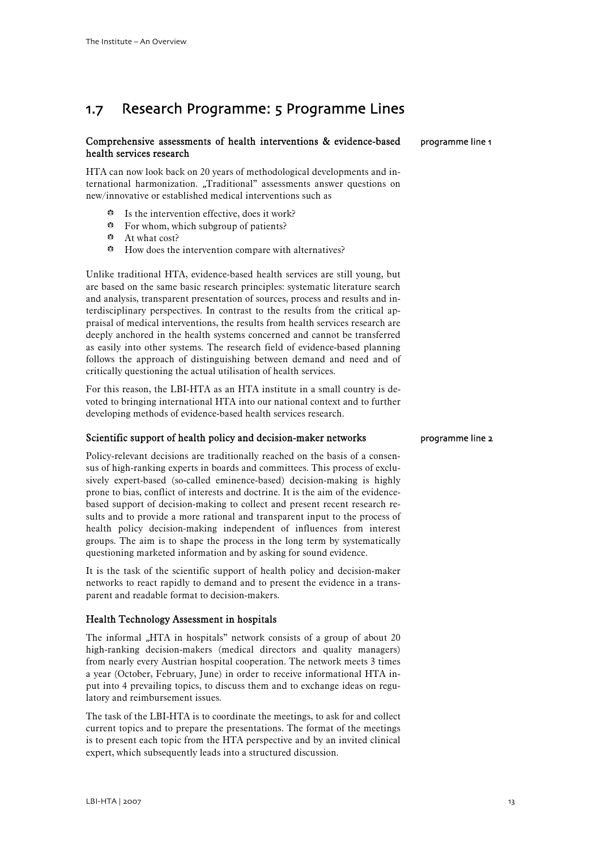# <span id="page-14-0"></span>1.7 Research Programme: 5 Programme Lines

#### Comprehensive assessments of health interventions & evidence-based health services research

HTA can now look back on 20 years of methodological developments and international harmonization. "Traditional" assessments answer questions on new/innovative or established medical interventions such as

- $\bullet$  Is the intervention effective, does it work?
- $\div$  For whom, which subgroup of patients?
- b At what cost?
- $\div$  How does the intervention compare with alternatives?

Unlike traditional HTA, evidence-based health services are still young, but are based on the same basic research principles: systematic literature search and analysis, transparent presentation of sources, process and results and interdisciplinary perspectives. In contrast to the results from the critical appraisal of medical interventions, the results from health services research are deeply anchored in the health systems concerned and cannot be transferred as easily into other systems. The research field of evidence-based planning follows the approach of distinguishing between demand and need and of critically questioning the actual utilisation of health services.

For this reason, the LBI-HTA as an HTA institute in a small country is devoted to bringing international HTA into our national context and to further developing methods of evidence-based health services research.

#### Scientific support of health policy and decision-maker networks

Policy-relevant decisions are traditionally reached on the basis of a consensus of high-ranking experts in boards and committees. This process of exclusively expert-based (so-called eminence-based) decision-making is highly prone to bias, conflict of interests and doctrine. It is the aim of the evidencebased support of decision-making to collect and present recent research results and to provide a more rational and transparent input to the process of health policy decision-making independent of influences from interest groups. The aim is to shape the process in the long term by systematically questioning marketed information and by asking for sound evidence.

It is the task of the scientific support of health policy and decision-maker networks to react rapidly to demand and to present the evidence in a transparent and readable format to decision-makers.

#### Health Technology Assessment in hospitals

The informal "HTA in hospitals" network consists of a group of about 20 high-ranking decision-makers (medical directors and quality managers) from nearly every Austrian hospital cooperation. The network meets 3 times a year (October, February, June) in order to receive informational HTA input into 4 prevailing topics, to discuss them and to exchange ideas on regulatory and reimbursement issues.

The task of the LBI-HTA is to coordinate the meetings, to ask for and collect current topics and to prepare the presentations. The format of the meetings is to present each topic from the HTA perspective and by an invited clinical expert, which subsequently leads into a structured discussion.

programme line 2

programme line 1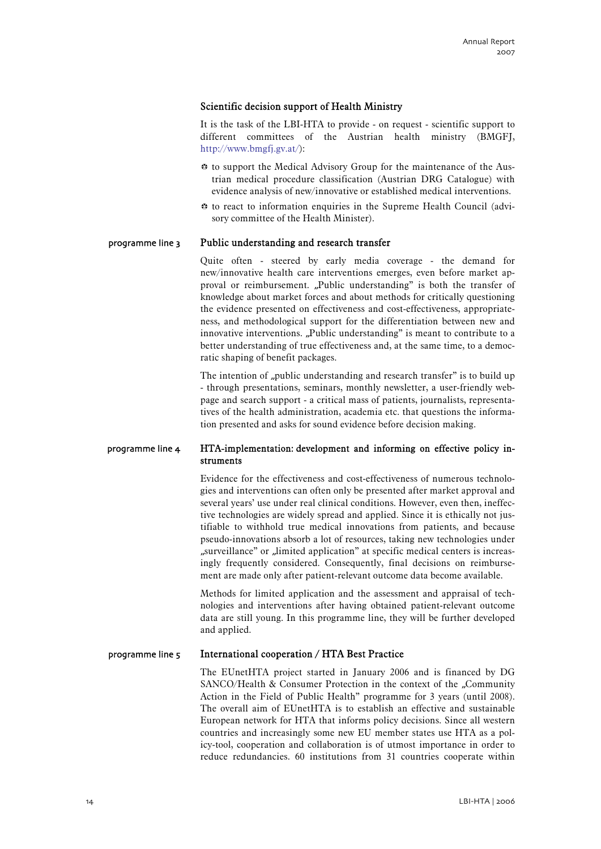#### Scientific decision support of Health Ministry

It is the task of the LBI-HTA to provide - on request - scientific support to different committees of the Austrian health ministry (BMGFJ, http://www.bmgfj.gv.at/):

- $\bullet$  to support the Medical Advisory Group for the maintenance of the Austrian medical procedure classification (Austrian DRG Catalogue) with evidence analysis of new/innovative or established medical interventions.
- $\bullet$  to react to information enquiries in the Supreme Health Council (advisory committee of the Health Minister).

#### Public understanding and research transfer programme line 3

Quite often - steered by early media coverage - the demand for new/innovative health care interventions emerges, even before market approval or reimbursement. "Public understanding" is both the transfer of knowledge about market forces and about methods for critically questioning the evidence presented on effectiveness and cost-effectiveness, appropriateness, and methodological support for the differentiation between new and innovative interventions. "Public understanding" is meant to contribute to a better understanding of true effectiveness and, at the same time, to a democratic shaping of benefit packages.

The intention of "public understanding and research transfer" is to build up - through presentations, seminars, monthly newsletter, a user-friendly webpage and search support - a critical mass of patients, journalists, representatives of the health administration, academia etc. that questions the information presented and asks for sound evidence before decision making.

#### HTA-implementation: development and informing on effective policy instruments programme line 4

Evidence for the effectiveness and cost-effectiveness of numerous technologies and interventions can often only be presented after market approval and several years' use under real clinical conditions. However, even then, ineffective technologies are widely spread and applied. Since it is ethically not justifiable to withhold true medical innovations from patients, and because pseudo-innovations absorb a lot of resources, taking new technologies under "surveillance" or "limited application" at specific medical centers is increasingly frequently considered. Consequently, final decisions on reimbursement are made only after patient-relevant outcome data become available.

Methods for limited application and the assessment and appraisal of technologies and interventions after having obtained patient-relevant outcome data are still young. In this programme line, they will be further developed and applied.

#### International cooperation / HTA Best Practice programme line 5

The EUnetHTA project started in January 2006 and is financed by DG SANCO/Health & Consumer Protection in the context of the "Community Action in the Field of Public Health" programme for 3 years (until 2008). The overall aim of EUnetHTA is to establish an effective and sustainable European network for HTA that informs policy decisions. Since all western countries and increasingly some new EU member states use HTA as a policy-tool, cooperation and collaboration is of utmost importance in order to reduce redundancies. 60 institutions from 31 countries cooperate within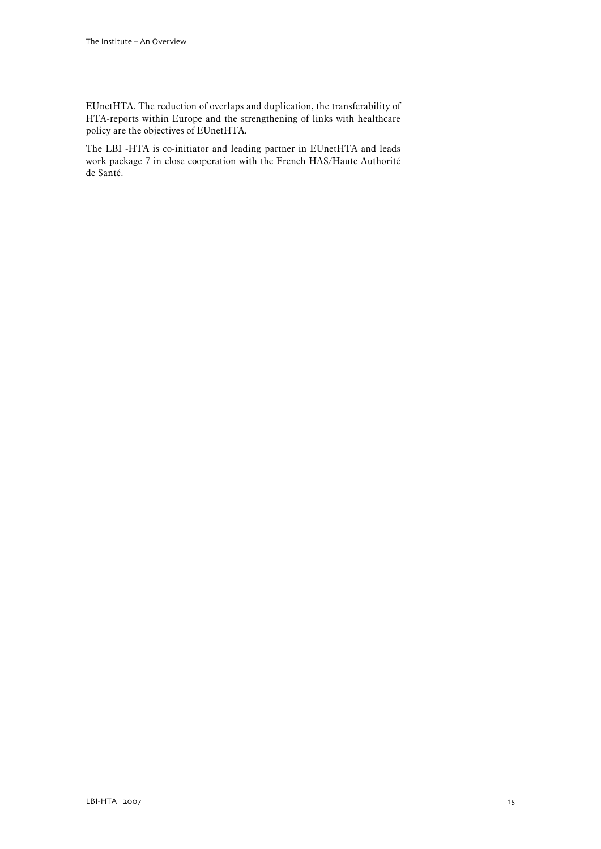EUnetHTA. The reduction of overlaps and duplication, the transferability of HTA-reports within Europe and the strengthening of links with healthcare policy are the objectives of EUnetHTA.

The LBI -HTA is co-initiator and leading partner in EUnetHTA and leads work package 7 in close cooperation with the French HAS/Haute Authorité de Santé.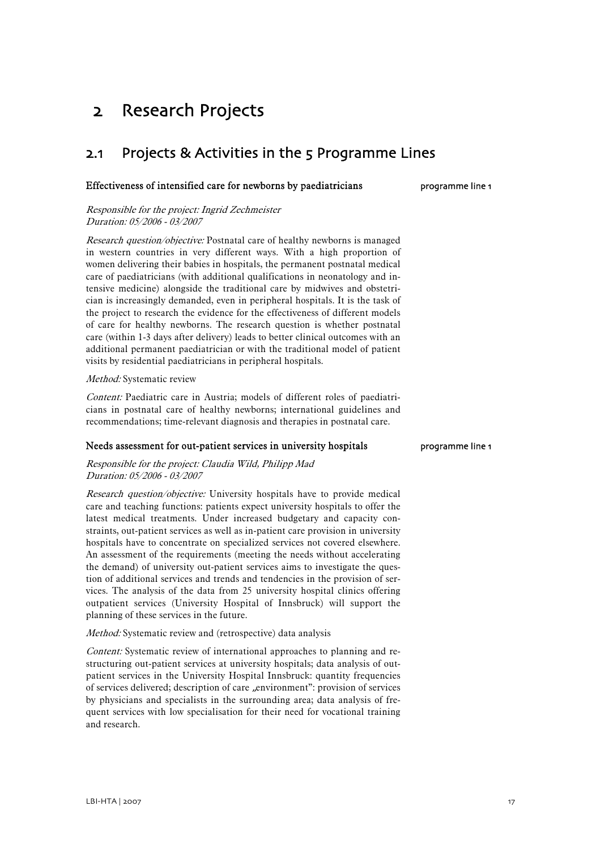# <span id="page-18-0"></span>2 Research Projects

# 2.1 Projects & Activities in the 5 Programme Lines

#### Effectiveness of intensified care for newborns by paediatricians

Responsible for the project: Ingrid Zechmeister Duration: 05/2006 - 03/2007

Research question/objective: Postnatal care of healthy newborns is managed in western countries in very different ways. With a high proportion of women delivering their babies in hospitals, the permanent postnatal medical care of paediatricians (with additional qualifications in neonatology and intensive medicine) alongside the traditional care by midwives and obstetrician is increasingly demanded, even in peripheral hospitals. It is the task of the project to research the evidence for the effectiveness of different models of care for healthy newborns. The research question is whether postnatal care (within 1-3 days after delivery) leads to better clinical outcomes with an additional permanent paediatrician or with the traditional model of patient visits by residential paediatricians in peripheral hospitals.

#### Method: Systematic review

Content: Paediatric care in Austria; models of different roles of paediatricians in postnatal care of healthy newborns; international guidelines and recommendations; time-relevant diagnosis and therapies in postnatal care.

#### Needs assessment for out-patient services in university hospitals

Responsible for the project: Claudia Wild, Philipp Mad Duration: 05/2006 - 03/2007

Research question/objective: University hospitals have to provide medical care and teaching functions: patients expect university hospitals to offer the latest medical treatments. Under increased budgetary and capacity constraints, out-patient services as well as in-patient care provision in university hospitals have to concentrate on specialized services not covered elsewhere. An assessment of the requirements (meeting the needs without accelerating the demand) of university out-patient services aims to investigate the question of additional services and trends and tendencies in the provision of services. The analysis of the data from 25 university hospital clinics offering outpatient services (University Hospital of Innsbruck) will support the planning of these services in the future.

Method: Systematic review and (retrospective) data analysis

Content: Systematic review of international approaches to planning and restructuring out-patient services at university hospitals; data analysis of outpatient services in the University Hospital Innsbruck: quantity frequencies of services delivered; description of care "environment": provision of services by physicians and specialists in the surrounding area; data analysis of frequent services with low specialisation for their need for vocational training and research.

programme line 1

programme line 1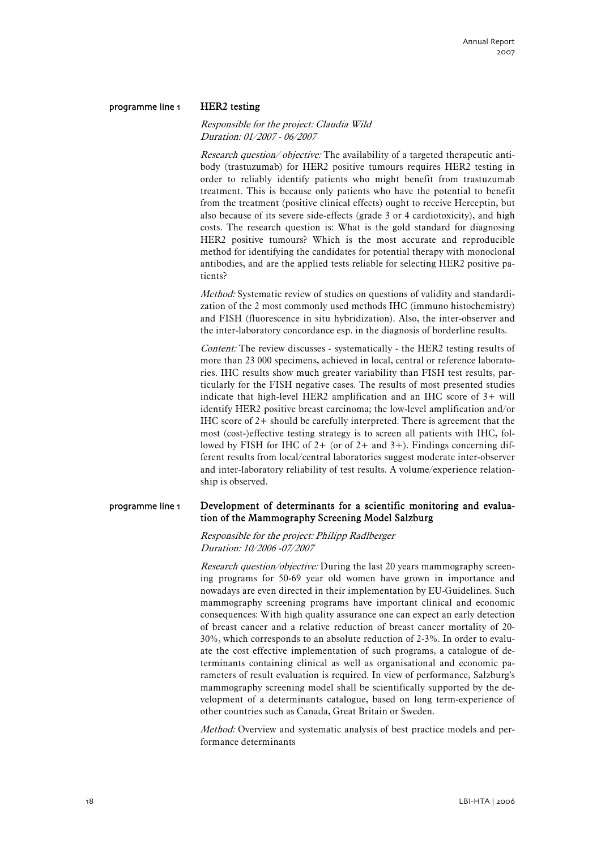#### programme line 1

# HER2 testing

#### Responsible for the project: Claudia Wild Duration: 01/2007 - 06/2007

*Research question/objective:* The availability of a targeted therapeutic antibody (trastuzumab) for HER2 positive tumours requires HER2 testing in order to reliably identify patients who might benefit from trastuzumab treatment. This is because only patients who have the potential to benefit from the treatment (positive clinical effects) ought to receive Herceptin, but also because of its severe side-effects (grade 3 or 4 cardiotoxicity), and high costs. The research question is: What is the gold standard for diagnosing HER2 positive tumours? Which is the most accurate and reproducible method for identifying the candidates for potential therapy with monoclonal antibodies, and are the applied tests reliable for selecting HER2 positive patients?

Method: Systematic review of studies on questions of validity and standardization of the 2 most commonly used methods IHC (immuno histochemistry) and FISH (fluorescence in situ hybridization). Also, the inter-observer and the inter-laboratory concordance esp. in the diagnosis of borderline results.

Content: The review discusses - systematically - the HER2 testing results of more than 23 000 specimens, achieved in local, central or reference laboratories. IHC results show much greater variability than FISH test results, particularly for the FISH negative cases. The results of most presented studies indicate that high-level HER2 amplification and an IHC score of 3+ will identify HER2 positive breast carcinoma; the low-level amplification and/or IHC score of  $2+$  should be carefully interpreted. There is agreement that the most (cost-)effective testing strategy is to screen all patients with IHC, followed by FISH for IHC of  $2+$  (or of  $2+$  and  $3+$ ). Findings concerning different results from local/central laboratories suggest moderate inter-observer and inter-laboratory reliability of test results. A volume/experience relationship is observed.

#### Development of determinants for a scientific monitoring and evaluation of the Mammography Screening Model Salzburg programme line 1

Responsible for the project: Philipp Radlberger Duration: 10/2006 -07/2007

Research question/objective: During the last 20 years mammography screening programs for 50-69 year old women have grown in importance and nowadays are even directed in their implementation by EU-Guidelines. Such mammography screening programs have important clinical and economic consequences: With high quality assurance one can expect an early detection of breast cancer and a relative reduction of breast cancer mortality of 20- 30%, which corresponds to an absolute reduction of 2-3%. In order to evaluate the cost effective implementation of such programs, a catalogue of determinants containing clinical as well as organisational and economic parameters of result evaluation is required. In view of performance, Salzburg's mammography screening model shall be scientifically supported by the development of a determinants catalogue, based on long term-experience of other countries such as Canada, Great Britain or Sweden.

Method: Overview and systematic analysis of best practice models and performance determinants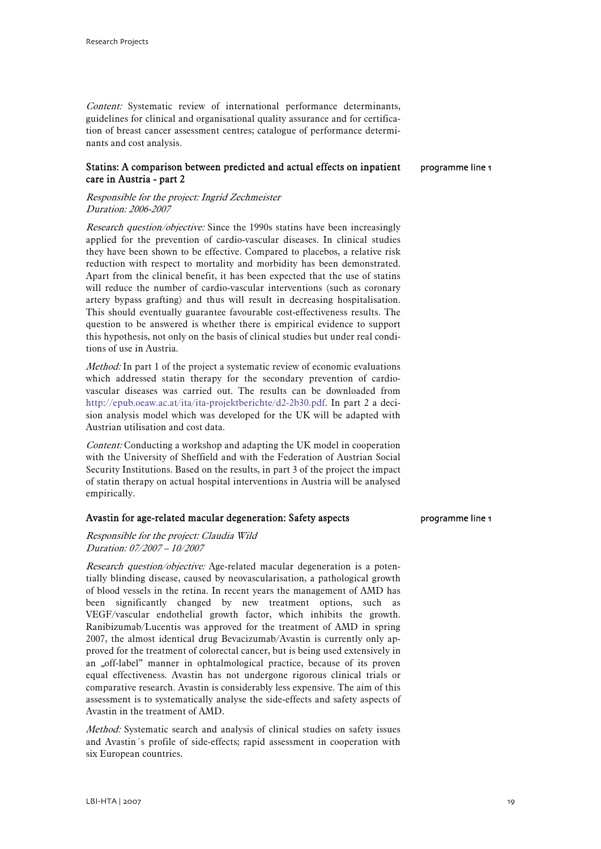Content: Systematic review of international performance determinants, guidelines for clinical and organisational quality assurance and for certification of breast cancer assessment centres; catalogue of performance determinants and cost analysis.

#### Statins: A comparison between predicted and actual effects on inpatient care in Austria - part 2

programme line 1

#### Responsible for the project: Ingrid Zechmeister Duration: 2006-2007

Research question/objective: Since the 1990s statins have been increasingly applied for the prevention of cardio-vascular diseases. In clinical studies they have been shown to be effective. Compared to placebos, a relative risk reduction with respect to mortality and morbidity has been demonstrated. Apart from the clinical benefit, it has been expected that the use of statins will reduce the number of cardio-vascular interventions (such as coronary artery bypass grafting) and thus will result in decreasing hospitalisation. This should eventually guarantee favourable cost-effectiveness results. The question to be answered is whether there is empirical evidence to support this hypothesis, not only on the basis of clinical studies but under real conditions of use in Austria.

Method: In part 1 of the project a systematic review of economic evaluations which addressed statin therapy for the secondary prevention of cardiovascular diseases was carried out. The results can be downloaded from http://epub.oeaw.ac.at/ita/ita-projektberichte/d2-2b30.pdf. In part 2 a decision analysis model which was developed for the UK will be adapted with Austrian utilisation and cost data.

Content: Conducting a workshop and adapting the UK model in cooperation with the University of Sheffield and with the Federation of Austrian Social Security Institutions. Based on the results, in part 3 of the project the impact of statin therapy on actual hospital interventions in Austria will be analysed empirically.

#### Avastin for age-related macular degeneration: Safety aspects

#### Responsible for the project: Claudia Wild Duration: 07/2007 – 10/2007

Research question/objective: Age-related macular degeneration is a potentially blinding disease, caused by neovascularisation, a pathological growth of blood vessels in the retina. In recent years the management of AMD has been significantly changed by new treatment options, such as VEGF/vascular endothelial growth factor, which inhibits the growth. Ranibizumab/Lucentis was approved for the treatment of AMD in spring 2007, the almost identical drug Bevacizumab/Avastin is currently only approved for the treatment of colorectal cancer, but is being used extensively in an "off-label" manner in ophtalmological practice, because of its proven equal effectiveness. Avastin has not undergone rigorous clinical trials or comparative research. Avastin is considerably less expensive. The aim of this assessment is to systematically analyse the side-effects and safety aspects of Avastin in the treatment of AMD.

Method: Systematic search and analysis of clinical studies on safety issues and Avastin´s profile of side-effects; rapid assessment in cooperation with six European countries.

programme line 1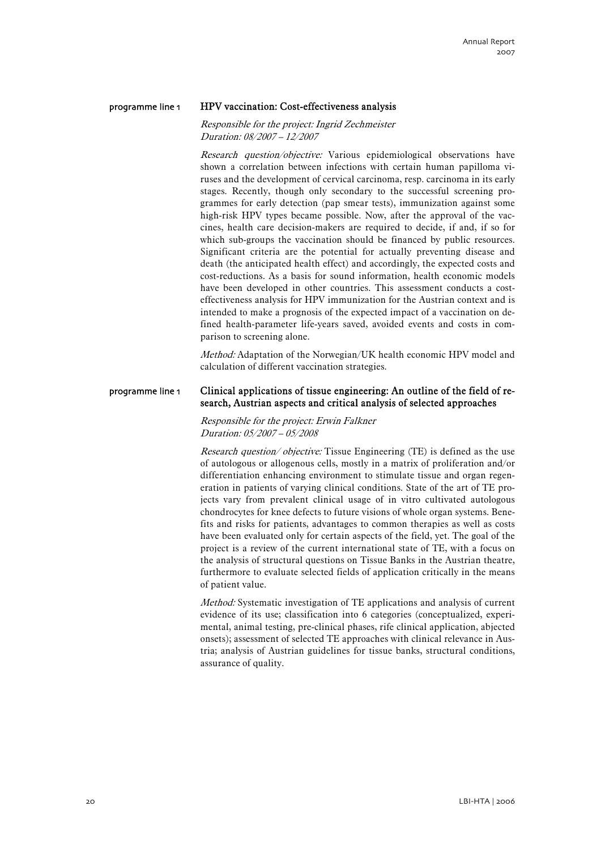#### HPV vaccination: Cost-effectiveness analysis programme line 1

#### Responsible for the project: Ingrid Zechmeister Duration: 08/2007 – 12/2007

Research question/objective: Various epidemiological observations have shown a correlation between infections with certain human papilloma viruses and the development of cervical carcinoma, resp. carcinoma in its early stages. Recently, though only secondary to the successful screening programmes for early detection (pap smear tests), immunization against some high-risk HPV types became possible. Now, after the approval of the vaccines, health care decision-makers are required to decide, if and, if so for which sub-groups the vaccination should be financed by public resources. Significant criteria are the potential for actually preventing disease and death (the anticipated health effect) and accordingly, the expected costs and cost-reductions. As a basis for sound information, health economic models have been developed in other countries. This assessment conducts a costeffectiveness analysis for HPV immunization for the Austrian context and is intended to make a prognosis of the expected impact of a vaccination on defined health-parameter life-years saved, avoided events and costs in comparison to screening alone.

Method: Adaptation of the Norwegian/UK health economic HPV model and calculation of different vaccination strategies.

#### Clinical applications of tissue engineering: An outline of the field of research, Austrian aspects and critical analysis of selected approaches programme line 1

Responsible for the project: Erwin Falkner Duration: 05/2007 – 05/2008

Research question/objective: Tissue Engineering (TE) is defined as the use of autologous or allogenous cells, mostly in a matrix of proliferation and/or differentiation enhancing environment to stimulate tissue and organ regeneration in patients of varying clinical conditions. State of the art of TE projects vary from prevalent clinical usage of in vitro cultivated autologous chondrocytes for knee defects to future visions of whole organ systems. Benefits and risks for patients, advantages to common therapies as well as costs have been evaluated only for certain aspects of the field, yet. The goal of the project is a review of the current international state of TE, with a focus on the analysis of structural questions on Tissue Banks in the Austrian theatre, furthermore to evaluate selected fields of application critically in the means of patient value.

Method: Systematic investigation of TE applications and analysis of current evidence of its use; classification into 6 categories (conceptualized, experimental, animal testing, pre-clinical phases, rife clinical application, abjected onsets); assessment of selected TE approaches with clinical relevance in Austria; analysis of Austrian guidelines for tissue banks, structural conditions, assurance of quality.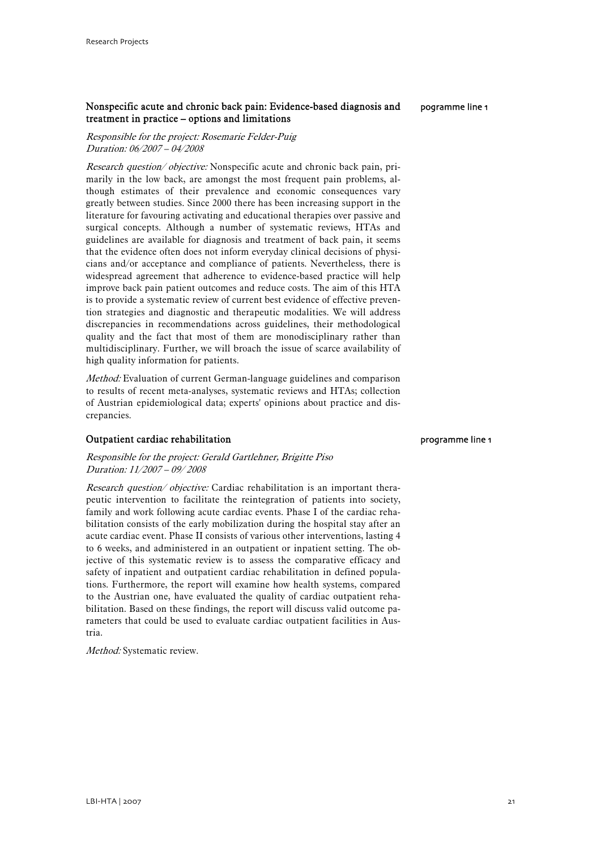#### Nonspecific acute and chronic back pain: Evidence-based diagnosis and treatment in practice – options and limitations

Responsible for the project: Rosemarie Felder-Puig Duration: 06/2007 – 04/2008

Research question/objective: Nonspecific acute and chronic back pain, primarily in the low back, are amongst the most frequent pain problems, although estimates of their prevalence and economic consequences vary greatly between studies. Since 2000 there has been increasing support in the literature for favouring activating and educational therapies over passive and surgical concepts. Although a number of systematic reviews, HTAs and guidelines are available for diagnosis and treatment of back pain, it seems that the evidence often does not inform everyday clinical decisions of physicians and/or acceptance and compliance of patients. Nevertheless, there is widespread agreement that adherence to evidence-based practice will help improve back pain patient outcomes and reduce costs. The aim of this HTA is to provide a systematic review of current best evidence of effective prevention strategies and diagnostic and therapeutic modalities. We will address discrepancies in recommendations across guidelines, their methodological quality and the fact that most of them are monodisciplinary rather than multidisciplinary. Further, we will broach the issue of scarce availability of high quality information for patients.

Method: Evaluation of current German-language guidelines and comparison to results of recent meta-analyses, systematic reviews and HTAs; collection of Austrian epidemiological data; experts' opinions about practice and discrepancies.

#### Outpatient cardiac rehabilitation

Responsible for the project: Gerald Gartlehner, Brigitte Piso Duration: 11/2007 – 09/ 2008

Research question/objective: Cardiac rehabilitation is an important therapeutic intervention to facilitate the reintegration of patients into society, family and work following acute cardiac events. Phase I of the cardiac rehabilitation consists of the early mobilization during the hospital stay after an acute cardiac event. Phase II consists of various other interventions, lasting 4 to 6 weeks, and administered in an outpatient or inpatient setting. The objective of this systematic review is to assess the comparative efficacy and safety of inpatient and outpatient cardiac rehabilitation in defined populations. Furthermore, the report will examine how health systems, compared to the Austrian one, have evaluated the quality of cardiac outpatient rehabilitation. Based on these findings, the report will discuss valid outcome parameters that could be used to evaluate cardiac outpatient facilities in Austria.

Method: Systematic review.

programme line 1

pogramme line 1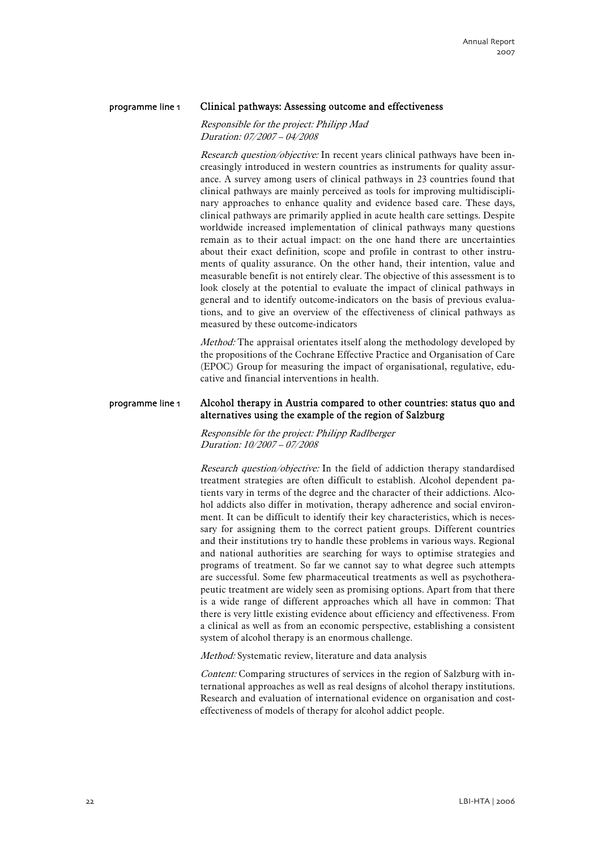#### Clinical pathways: Assessing outcome and effectiveness programme line 1

Responsible for the project: Philipp Mad Duration: 07/2007 – 04/2008

Research question/objective: In recent years clinical pathways have been increasingly introduced in western countries as instruments for quality assurance. A survey among users of clinical pathways in 23 countries found that clinical pathways are mainly perceived as tools for improving multidisciplinary approaches to enhance quality and evidence based care. These days, clinical pathways are primarily applied in acute health care settings. Despite worldwide increased implementation of clinical pathways many questions remain as to their actual impact: on the one hand there are uncertainties about their exact definition, scope and profile in contrast to other instruments of quality assurance. On the other hand, their intention, value and measurable benefit is not entirely clear. The objective of this assessment is to look closely at the potential to evaluate the impact of clinical pathways in general and to identify outcome-indicators on the basis of previous evaluations, and to give an overview of the effectiveness of clinical pathways as measured by these outcome-indicators

*Method:* The appraisal orientates itself along the methodology developed by the propositions of the Cochrane Effective Practice and Organisation of Care (EPOC) Group for measuring the impact of organisational, regulative, educative and financial interventions in health.

#### Alcohol therapy in Austria compared to other countries: status quo and alternatives using the example of the region of Salzburg programme line 1

Responsible for the project: Philipp Radlberger Duration: 10/2007 – 07/2008

Research question/objective: In the field of addiction therapy standardised treatment strategies are often difficult to establish. Alcohol dependent patients vary in terms of the degree and the character of their addictions. Alcohol addicts also differ in motivation, therapy adherence and social environment. It can be difficult to identify their key characteristics, which is necessary for assigning them to the correct patient groups. Different countries and their institutions try to handle these problems in various ways. Regional and national authorities are searching for ways to optimise strategies and programs of treatment. So far we cannot say to what degree such attempts are successful. Some few pharmaceutical treatments as well as psychotherapeutic treatment are widely seen as promising options. Apart from that there is a wide range of different approaches which all have in common: That there is very little existing evidence about efficiency and effectiveness. From a clinical as well as from an economic perspective, establishing a consistent system of alcohol therapy is an enormous challenge.

Method: Systematic review, literature and data analysis

Content: Comparing structures of services in the region of Salzburg with international approaches as well as real designs of alcohol therapy institutions. Research and evaluation of international evidence on organisation and costeffectiveness of models of therapy for alcohol addict people.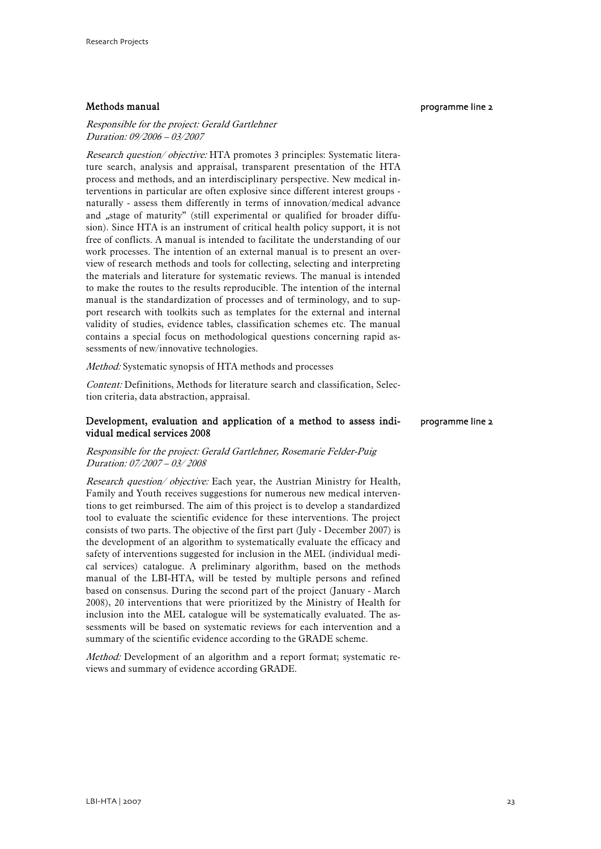#### Methods manual

#### Responsible for the project: Gerald Gartlehner Duration: 09/2006 – 03/2007

Research question/ objective: HTA promotes 3 principles: Systematic literature search, analysis and appraisal, transparent presentation of the HTA process and methods, and an interdisciplinary perspective. New medical interventions in particular are often explosive since different interest groups naturally - assess them differently in terms of innovation/medical advance and "stage of maturity" (still experimental or qualified for broader diffusion). Since HTA is an instrument of critical health policy support, it is not free of conflicts. A manual is intended to facilitate the understanding of our work processes. The intention of an external manual is to present an overview of research methods and tools for collecting, selecting and interpreting the materials and literature for systematic reviews. The manual is intended to make the routes to the results reproducible. The intention of the internal manual is the standardization of processes and of terminology, and to support research with toolkits such as templates for the external and internal validity of studies, evidence tables, classification schemes etc. The manual contains a special focus on methodological questions concerning rapid assessments of new/innovative technologies.

Method: Systematic synopsis of HTA methods and processes

Content: Definitions, Methods for literature search and classification, Selection criteria, data abstraction, appraisal.

#### Development, evaluation and application of a method to assess individual medical services 2008 programme line 2

#### Responsible for the project: Gerald Gartlehner, Rosemarie Felder-Puig Duration: 07/2007 – 03/ 2008

Research question/ objective: Each year, the Austrian Ministry for Health, Family and Youth receives suggestions for numerous new medical interventions to get reimbursed. The aim of this project is to develop a standardized tool to evaluate the scientific evidence for these interventions. The project consists of two parts. The objective of the first part (July - December 2007) is the development of an algorithm to systematically evaluate the efficacy and safety of interventions suggested for inclusion in the MEL (individual medical services) catalogue. A preliminary algorithm, based on the methods manual of the LBI-HTA, will be tested by multiple persons and refined based on consensus. During the second part of the project (January - March 2008), 20 interventions that were prioritized by the Ministry of Health for inclusion into the MEL catalogue will be systematically evaluated. The assessments will be based on systematic reviews for each intervention and a summary of the scientific evidence according to the GRADE scheme.

Method: Development of an algorithm and a report format; systematic reviews and summary of evidence according GRADE.

#### programme line 2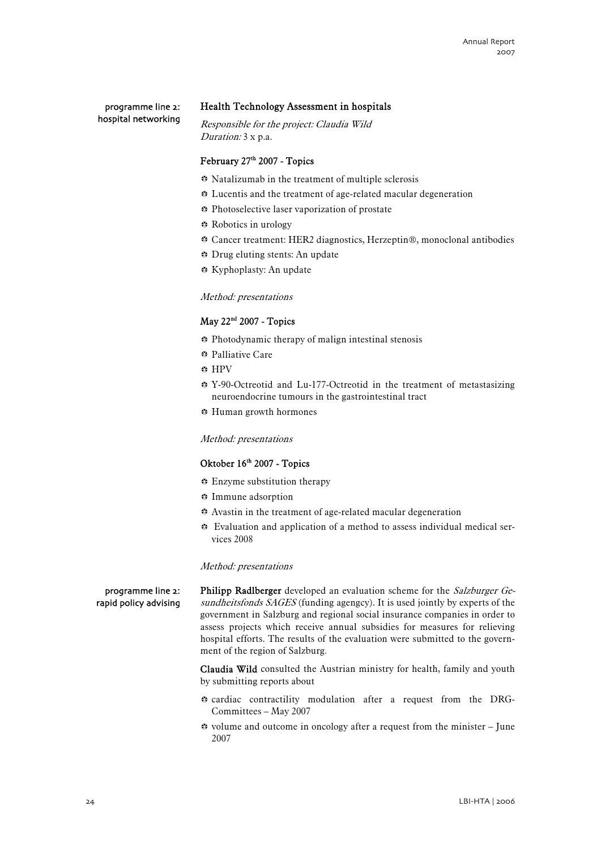programme line 2: hospital networking

#### Health Technology Assessment in hospitals

Responsible for the project: Claudia Wild Duration: 3 x p.a.

#### February 27<sup>th</sup> 2007 - Topics

- b Natalizumab in the treatment of multiple sclerosis
- $\ddot{\bullet}$  Lucentis and the treatment of age-related macular degeneration
- $\bullet$  Photoselective laser vaporization of prostate
- $\bullet$  **Robotics in urology**
- b Cancer treatment: HER2 diagnostics, Herzeptin®, monoclonal antibodies
- ⊕ Drug eluting stents: An update
- b Kyphoplasty: An update

#### Method: presentations

#### May 22nd 2007 - Topics

- $\bullet$  Photodynamic therapy of malign intestinal stenosis
- $\bullet$  **Palliative Care**
- $\bullet$  HPV
- $\bullet$  **Y-90-Octreotid and Lu-177-Octreotid in the treatment of metastasizing** neuroendocrine tumours in the gastrointestinal tract
- **B** Human growth hormones

Method: presentations

#### Oktober 16<sup>th</sup> 2007 - Topics

- $\div$  Enzyme substitution therapy
- $\ddot{\bullet}$  Immune adsorption
- $\bullet$  Avastin in the treatment of age-related macular degeneration
- $\bullet$  Evaluation and application of a method to assess individual medical services 2008

#### Method: presentations

Philipp Radlberger developed an evaluation scheme for the Salzburger Gesundheitsfonds SAGES (funding agengcy). It is used jointly by experts of the government in Salzburg and regional social insurance companies in order to assess projects which receive annual subsidies for measures for relieving hospital efforts. The results of the evaluation were submitted to the government of the region of Salzburg.

Claudia Wild consulted the Austrian ministry for health, family and youth by submitting reports about

- $\bullet$  cardiac contractility modulation after a request from the DRG-Committees – May 2007
- $\bullet$  volume and outcome in oncology after a request from the minister June 2007

#### programme line 2: rapid policy advising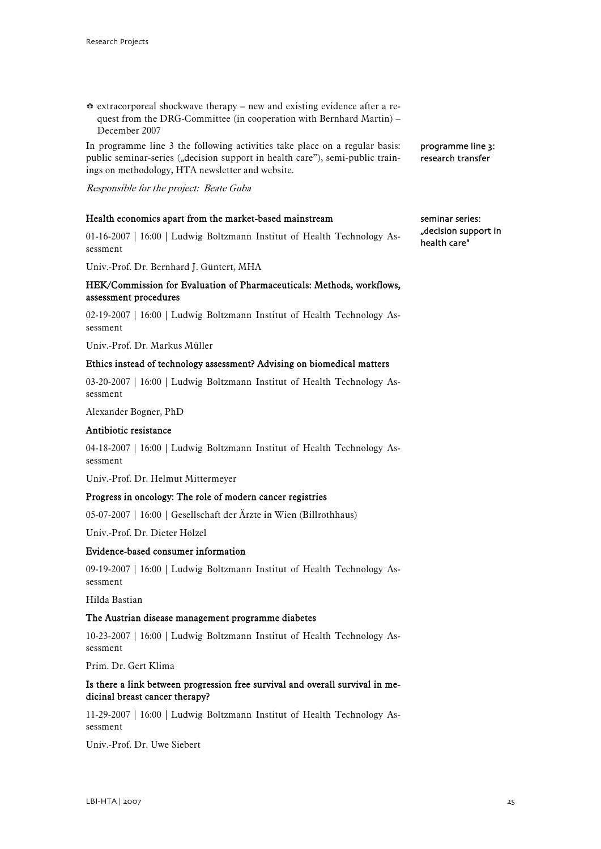$\Leftrightarrow$  extracorporeal shockwave therapy – new and existing evidence after a request from the DRG-Committee (in cooperation with Bernhard Martin) – December 2007

In programme line 3 the following activities take place on a regular basis: public seminar-series ("decision support in health care"), semi-public trainings on methodology, HTA newsletter and website.

Responsible for the project: Beate Guba

#### Health economics apart from the market-based mainstream

01-16-2007 | 16:00 | Ludwig Boltzmann Institut of Health Technology Assessment

Univ.-Prof. Dr. Bernhard J. Güntert, MHA

#### HEK/Commission for Evaluation of Pharmaceuticals: Methods, workflows, assessment procedures

02-19-2007 | 16:00 | Ludwig Boltzmann Institut of Health Technology Assessment

Univ.-Prof. Dr. Markus Müller

#### Ethics instead of technology assessment? Advising on biomedical matters

03-20-2007 | 16:00 | Ludwig Boltzmann Institut of Health Technology Assessment

Alexander Bogner, PhD

#### Antibiotic resistance

04-18-2007 | 16:00 | Ludwig Boltzmann Institut of Health Technology Assessment

Univ.-Prof. Dr. Helmut Mittermeyer

#### Progress in oncology: The role of modern cancer registries

05-07-2007 | 16:00 | Gesellschaft der Ärzte in Wien (Billrothhaus)

Univ.-Prof. Dr. Dieter Hölzel

#### Evidence-based consumer information

09-19-2007 | 16:00 | Ludwig Boltzmann Institut of Health Technology Assessment

Hilda Bastian

#### The Austrian disease management programme diabetes

10-23-2007 | 16:00 | Ludwig Boltzmann Institut of Health Technology Assessment

Prim. Dr. Gert Klima

#### Is there a link between progression free survival and overall survival in medicinal breast cancer therapy?

11-29-2007 | 16:00 | Ludwig Boltzmann Institut of Health Technology Assessment

Univ.-Prof. Dr. Uwe Siebert

research transfer

programme line 3:

seminar series: "decision support in health care"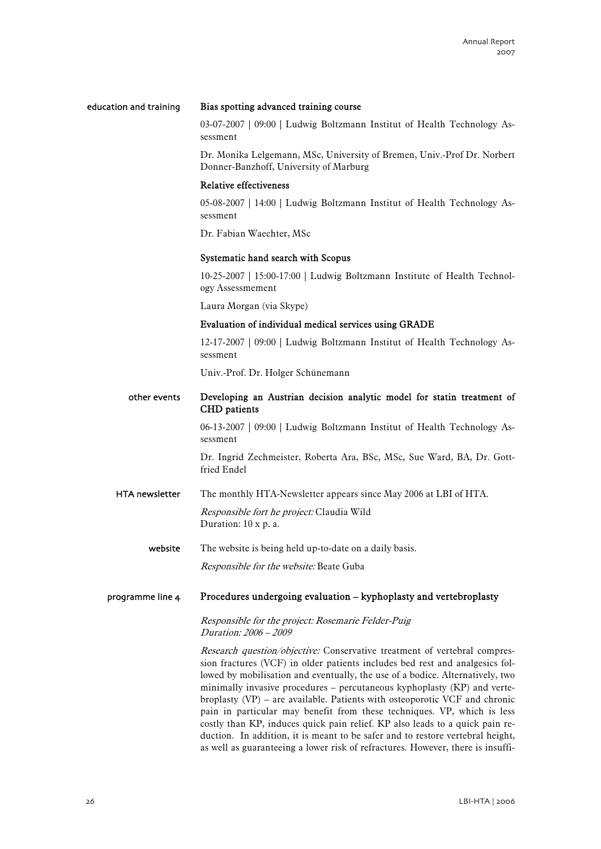#### Bias spotting advanced training course education and training

03-07-2007 | 09:00 | Ludwig Boltzmann Institut of Health Technology Assessment

Dr. Monika Lelgemann, MSc, University of Bremen, Univ.-Prof Dr. Norbert Donner-Banzhoff, University of Marburg

#### Relative effectiveness

05-08-2007 | 14:00 | Ludwig Boltzmann Institut of Health Technology Assessment

Dr. Fabian Waechter, MSc

#### Systematic hand search with Scopus

10-25-2007 | 15:00-17:00 | Ludwig Boltzmann Institute of Health Technology Assessmement

Laura Morgan (via Skype)

#### Evaluation of individual medical services using GRADE

12-17-2007 | 09:00 | Ludwig Boltzmann Institut of Health Technology Assessment

Univ.-Prof. Dr. Holger Schünemann

#### Developing an Austrian decision analytic model for statin treatment of CHD patients other events

06-13-2007 | 09:00 | Ludwig Boltzmann Institut of Health Technology Assessment

Dr. Ingrid Zechmeister, Roberta Ara, BSc, MSc, Sue Ward, BA, Dr. Gottfried Endel

The monthly HTA-Newsletter appears since May 2006 at LBI of HTA. Responsible fort he project: Claudia Wild Duration: 10 x p. a. HTA newsletter

The website is being held up-to-date on a daily basis. website

Responsible for the website: Beate Guba

#### Procedures undergoing evaluation – kyphoplasty and vertebroplasty programme line 4

Responsible for the project: Rosemarie Felder-Puig Duration: 2006 – 2009

Research question/objective: Conservative treatment of vertebral compression fractures (VCF) in older patients includes bed rest and analgesics followed by mobilisation and eventually, the use of a bodice. Alternatively, two minimally invasive procedures – percutaneous kyphoplasty (KP) and vertebroplasty (VP) – are available. Patients with osteoporotic VCF and chronic pain in particular may benefit from these techniques. VP, which is less costly than KP, induces quick pain relief. KP also leads to a quick pain reduction. In addition, it is meant to be safer and to restore vertebral height, as well as guaranteeing a lower risk of refractures. However, there is insuffi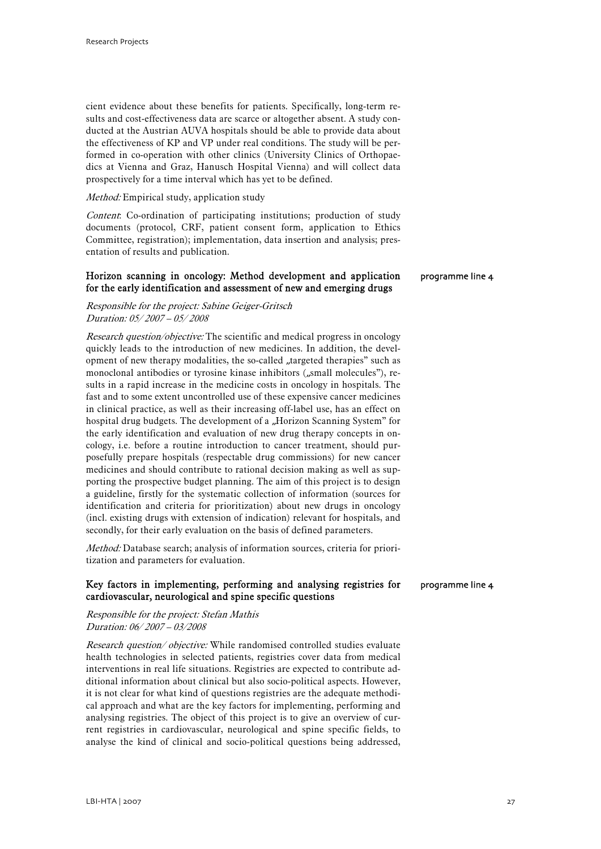cient evidence about these benefits for patients. Specifically, long-term results and cost-effectiveness data are scarce or altogether absent. A study conducted at the Austrian AUVA hospitals should be able to provide data about the effectiveness of KP and VP under real conditions. The study will be performed in co-operation with other clinics (University Clinics of Orthopaedics at Vienna and Graz, Hanusch Hospital Vienna) and will collect data prospectively for a time interval which has yet to be defined.

#### Method: Empirical study, application study

Content: Co-ordination of participating institutions; production of study documents (protocol, CRF, patient consent form, application to Ethics Committee, registration); implementation, data insertion and analysis; presentation of results and publication.

#### Horizon scanning in oncology: Method development and application for the early identification and assessment of new and emerging drugs

programme line 4

programme line 4

#### Responsible for the project: Sabine Geiger-Gritsch Duration: 05/ 2007 – 05/ 2008

Research question/objective: The scientific and medical progress in oncology quickly leads to the introduction of new medicines. In addition, the development of new therapy modalities, the so-called "targeted therapies" such as monoclonal antibodies or tyrosine kinase inhibitors ("small molecules"), results in a rapid increase in the medicine costs in oncology in hospitals. The fast and to some extent uncontrolled use of these expensive cancer medicines in clinical practice, as well as their increasing off-label use, has an effect on hospital drug budgets. The development of a "Horizon Scanning System" for the early identification and evaluation of new drug therapy concepts in oncology, i.e. before a routine introduction to cancer treatment, should purposefully prepare hospitals (respectable drug commissions) for new cancer medicines and should contribute to rational decision making as well as supporting the prospective budget planning. The aim of this project is to design a guideline, firstly for the systematic collection of information (sources for identification and criteria for prioritization) about new drugs in oncology (incl. existing drugs with extension of indication) relevant for hospitals, and secondly, for their early evaluation on the basis of defined parameters.

Method: Database search; analysis of information sources, criteria for prioritization and parameters for evaluation.

#### Key factors in implementing, performing and analysing registries for cardiovascular, neurological and spine specific questions

Responsible for the project: Stefan Mathis Duration: 06/ 2007 – 03/2008

Research question/ objective: While randomised controlled studies evaluate health technologies in selected patients, registries cover data from medical interventions in real life situations. Registries are expected to contribute additional information about clinical but also socio-political aspects. However, it is not clear for what kind of questions registries are the adequate methodical approach and what are the key factors for implementing, performing and analysing registries. The object of this project is to give an overview of current registries in cardiovascular, neurological and spine specific fields, to analyse the kind of clinical and socio-political questions being addressed,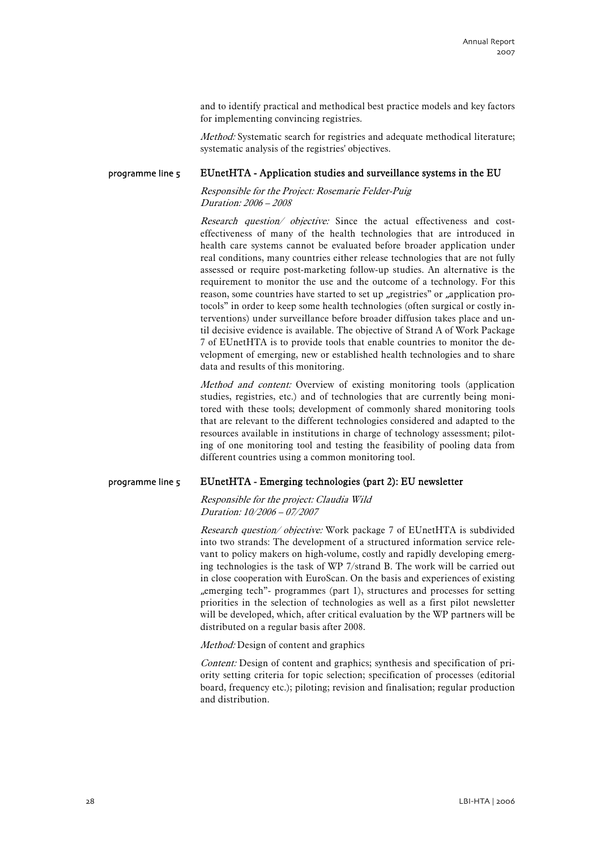and to identify practical and methodical best practice models and key factors for implementing convincing registries.

Method: Systematic search for registries and adequate methodical literature; systematic analysis of the registries' objectives.

#### EUnetHTA - Application studies and surveillance systems in the EU programme line 5

Responsible for the Project: Rosemarie Felder-Puig Duration: 2006 – 2008

Research question/ objective: Since the actual effectiveness and costeffectiveness of many of the health technologies that are introduced in health care systems cannot be evaluated before broader application under real conditions, many countries either release technologies that are not fully assessed or require post-marketing follow-up studies. An alternative is the requirement to monitor the use and the outcome of a technology. For this reason, some countries have started to set up "registries" or "application protocols" in order to keep some health technologies (often surgical or costly interventions) under surveillance before broader diffusion takes place and until decisive evidence is available. The objective of Strand A of Work Package 7 of EUnetHTA is to provide tools that enable countries to monitor the development of emerging, new or established health technologies and to share data and results of this monitoring.

Method and content: Overview of existing monitoring tools (application studies, registries, etc.) and of technologies that are currently being monitored with these tools; development of commonly shared monitoring tools that are relevant to the different technologies considered and adapted to the resources available in institutions in charge of technology assessment; piloting of one monitoring tool and testing the feasibility of pooling data from different countries using a common monitoring tool.

#### EUnetHTA - Emerging technologies (part 2): EU newsletter programme line 5

Responsible for the project: Claudia Wild Duration: 10/2006 – 07/2007

Research question/ objective: Work package 7 of EUnetHTA is subdivided into two strands: The development of a structured information service relevant to policy makers on high-volume, costly and rapidly developing emerging technologies is the task of WP 7/strand B. The work will be carried out in close cooperation with EuroScan. On the basis and experiences of existing ", emerging tech"- programmes (part 1), structures and processes for setting priorities in the selection of technologies as well as a first pilot newsletter will be developed, which, after critical evaluation by the WP partners will be distributed on a regular basis after 2008.

Method: Design of content and graphics

Content: Design of content and graphics; synthesis and specification of priority setting criteria for topic selection; specification of processes (editorial board, frequency etc.); piloting; revision and finalisation; regular production and distribution.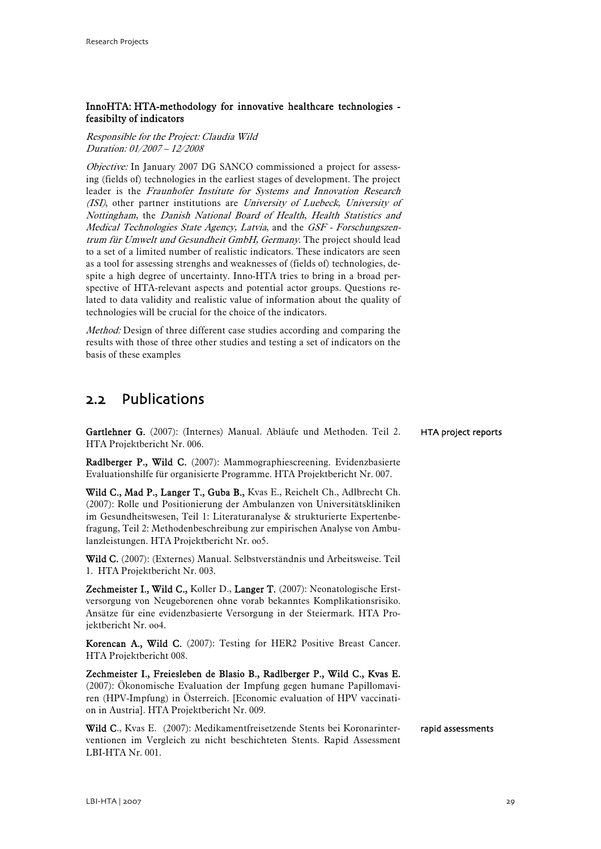#### <span id="page-30-0"></span>InnoHTA: HTA-methodology for innovative healthcare technologies feasibilty of indicators

Responsible for the Project: Claudia Wild Duration: 01/2007 – 12/2008

Objective: In January 2007 DG SANCO commissioned a project for assessing (fields of) technologies in the earliest stages of development. The project leader is the Fraunhofer Institute for Systems and Innovation Research (ISI), other partner institutions are University of Luebeck, University of Nottingham, the Danish National Board of Health, Health Statistics and Medical Technologies State Agency, Latvia, and the GSF - Forschungszentrum für Umwelt und Gesundheit GmbH, Germany. The project should lead to a set of a limited number of realistic indicators. These indicators are seen as a tool for assessing strenghs and weaknesses of (fields of) technologies, despite a high degree of uncertainty. Inno-HTA tries to bring in a broad perspective of HTA-relevant aspects and potential actor groups. Questions related to data validity and realistic value of information about the quality of technologies will be crucial for the choice of the indicators.

Method: Design of three different case studies according and comparing the results with those of three other studies and testing a set of indicators on the basis of these examples

### 2.2 Publications

Gartlehner G. (2007): (Internes) Manual. Abläufe und Methoden. Teil 2. HTA Projektbericht Nr. 006.

Radlberger P., Wild C. (2007): Mammographiescreening. Evidenzbasierte Evaluationshilfe für organisierte Programme. HTA Projektbericht Nr. 007.

Wild C., Mad P., Langer T., Guba B., Kvas E., Reichelt Ch., Adlbrecht Ch. (2007): Rolle und Positionierung der Ambulanzen von Universitätskliniken im Gesundheitswesen, Teil 1: Literaturanalyse & strukturierte Expertenbefragung, Teil 2: Methodenbeschreibung zur empirischen Analyse von Ambulanzleistungen. HTA Projektbericht Nr. oo5.

Wild C. (2007): (Externes) Manual. Selbstverständnis und Arbeitsweise. Teil 1. HTA Projektbericht Nr. 003.

Zechmeister I., Wild C., Koller D., Langer T. (2007): Neonatologische Erstversorgung von Neugeborenen ohne vorab bekanntes Komplikationsrisiko. Ansätze für eine evidenzbasierte Versorgung in der Steiermark. HTA Projektbericht Nr. oo4.

Korencan A., Wild C. (2007): Testing for HER2 Positive Breast Cancer. HTA Projektbericht 008.

Zechmeister I., Freiesleben de Blasio B., Radlberger P., Wild C., Kvas E. (2007): Ökonomische Evaluation der Impfung gegen humane Papillomaviren (HPV-Impfung) in Österreich. [Economic evaluation of HPV vaccination in Austria]. HTA Projektbericht Nr. 009.

Wild C., Kvas E. (2007): Medikamentfreisetzende Stents bei Koronarinterventionen im Vergleich zu nicht beschichteten Stents. Rapid Assessment LBI-HTA Nr. 001.

HTA project reports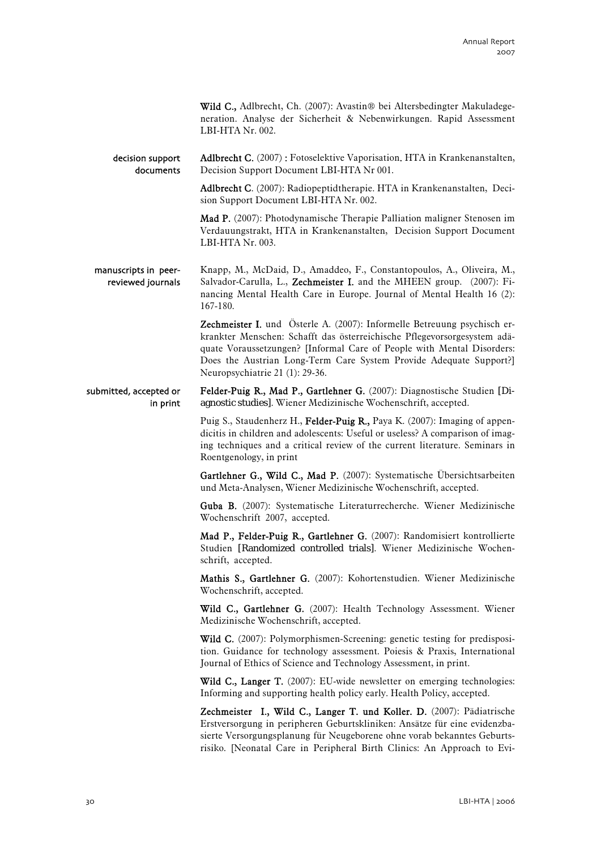Wild C., Adlbrecht, Ch. (2007): Avastin® bei Altersbedingter Makuladegeneration. Analyse der Sicherheit & Nebenwirkungen. Rapid Assessment LBI-HTA Nr. 002.

Adlbrecht C. (2007): Fotoselektive Vaporisation. HTA in Krankenanstalten, Decision Support Document LBI-HTA Nr 001. decision support documents

> Adlbrecht C. (2007): Radiopeptidtherapie. HTA in Krankenanstalten, Decision Support Document LBI-HTA Nr. 002.

> Mad P. (2007): Photodynamische Therapie Palliation maligner Stenosen im Verdauungstrakt, HTA in Krankenanstalten, Decision Support Document LBI-HTA Nr. 003.

Knapp, M., McDaid, D., Amaddeo, F., Constantopoulos, A., Oliveira, M., Salvador-Carulla, L., Zechmeister I. and the MHEEN group. (2007): Financing Mental Health Care in Europe. Journal of Mental Health 16 (2): 167-180. manuscripts in peerreviewed journals

> Zechmeister I. und Österle A. (2007): Informelle Betreuung psychisch erkrankter Menschen: Schafft das österreichische Pflegevorsorgesystem adäquate Voraussetzungen? [Informal Care of People with Mental Disorders: Does the Austrian Long-Term Care System Provide Adequate Support?] Neuropsychiatrie 21 (1): 29-36.

Felder-Puig R., Mad P., Gartlehner G. (2007): Diagnostische Studien [Diagnostic studies]. Wiener Medizinische Wochenschrift, accepted. submitted, accepted or in print

> Puig S., Staudenherz H., Felder-Puig R., Paya K. (2007): Imaging of appendicitis in children and adolescents: Useful or useless? A comparison of imaging techniques and a critical review of the current literature. Seminars in Roentgenology, in print

> Gartlehner G., Wild C., Mad P. (2007): Systematische Übersichtsarbeiten und Meta-Analysen, Wiener Medizinische Wochenschrift, accepted.

> Guba B. (2007): Systematische Literaturrecherche. Wiener Medizinische Wochenschrift 2007, accepted.

> Mad P., Felder-Puig R., Gartlehner G. (2007): Randomisiert kontrollierte Studien [Randomized controlled trials]. Wiener Medizinische Wochenschrift, accepted.

> Mathis S., Gartlehner G. (2007): Kohortenstudien. Wiener Medizinische Wochenschrift, accepted.

> Wild C., Gartlehner G. (2007): Health Technology Assessment. Wiener Medizinische Wochenschrift, accepted.

> Wild C. (2007): Polymorphismen-Screening: genetic testing for predisposition. Guidance for technology assessment. Poiesis & Praxis, International Journal of Ethics of Science and Technology Assessment, in print.

> Wild C., Langer T. (2007): EU-wide newsletter on emerging technologies: Informing and supporting health policy early. Health Policy, accepted.

> Zechmeister I., Wild C., Langer T. und Koller. D. (2007): Pädiatrische Erstversorgung in peripheren Geburtskliniken: Ansätze für eine evidenzbasierte Versorgungsplanung für Neugeborene ohne vorab bekanntes Geburtsrisiko. [Neonatal Care in Peripheral Birth Clinics: An Approach to Evi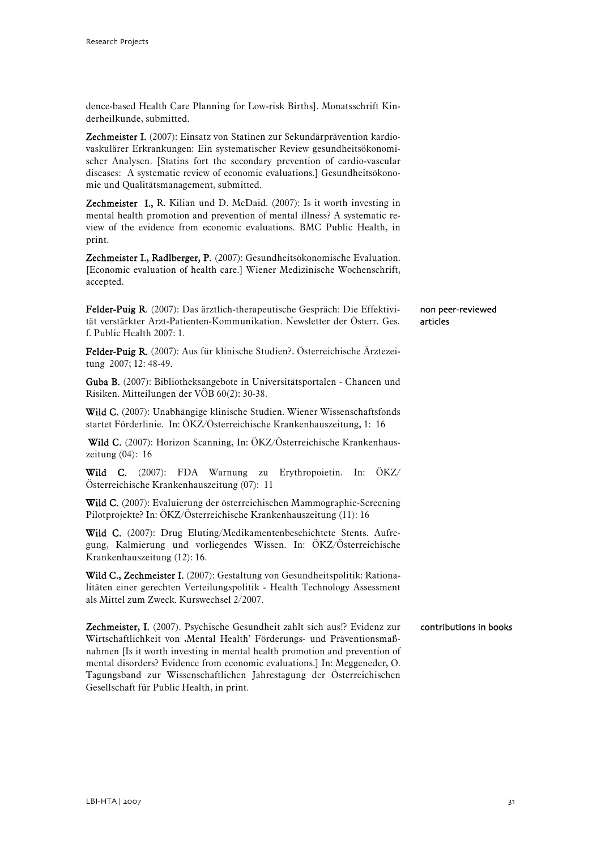dence-based Health Care Planning for Low-risk Births]. Monatsschrift Kinderheilkunde, submitted.

Zechmeister I. (2007): Einsatz von Statinen zur Sekundärprävention kardiovaskulärer Erkrankungen: Ein systematischer Review gesundheitsökonomischer Analysen. [Statins fort the secondary prevention of cardio-vascular diseases: A systematic review of economic evaluations.] Gesundheitsökonomie und Qualitätsmanagement, submitted.

Zechmeister I., R. Kilian und D. McDaid. (2007): Is it worth investing in mental health promotion and prevention of mental illness? A systematic review of the evidence from economic evaluations. BMC Public Health, in print.

Zechmeister I., Radlberger, P. (2007): Gesundheitsökonomische Evaluation. [Economic evaluation of health care.] Wiener Medizinische Wochenschrift, accepted.

Felder-Puig R. (2007): Das ärztlich-therapeutische Gespräch: Die Effektivität verstärkter Arzt-Patienten-Kommunikation. Newsletter der Österr. Ges. f. Public Health 2007: 1. non peer-reviewed articles

Felder-Puig R. (2007): Aus für klinische Studien?. Österreichische Ärztezeitung 2007; 12: 48-49.

Guba B. (2007): Bibliotheksangebote in Universitätsportalen - Chancen und Risiken. Mitteilungen der VÖB 60(2): 30-38.

Wild C. (2007): Unabhängige klinische Studien. Wiener Wissenschaftsfonds startet Förderlinie. In: ÖKZ/Österreichische Krankenhauszeitung, 1: 16

 Wild C. (2007): Horizon Scanning, In: ÖKZ/Österreichische Krankenhauszeitung (04): 16

Wild C. (2007): FDA Warnung zu Erythropoietin. In: ÖKZ/ Österreichische Krankenhauszeitung (07): 11

Wild C. (2007): Evaluierung der österreichischen Mammographie-Screening Pilotprojekte? In: ÖKZ/Österreichische Krankenhauszeitung (11): 16

Wild C. (2007): Drug Eluting/Medikamentenbeschichtete Stents. Aufregung, Kalmierung und vorliegendes Wissen. In: ÖKZ/Österreichische Krankenhauszeitung (12): 16.

Wild C., Zechmeister I. (2007): Gestaltung von Gesundheitspolitik: Rationalitäten einer gerechten Verteilungspolitik - Health Technology Assessment als Mittel zum Zweck. Kurswechsel 2/2007.

Zechmeister, I. (2007). Psychische Gesundheit zahlt sich aus!? Evidenz zur Wirtschaftlichkeit von 'Mental Health' Förderungs- und Präventionsmaßnahmen [Is it worth investing in mental health promotion and prevention of mental disorders? Evidence from economic evaluations.] In: Meggeneder, O. Tagungsband zur Wissenschaftlichen Jahrestagung der Österreichischen Gesellschaft für Public Health, in print. contributions in books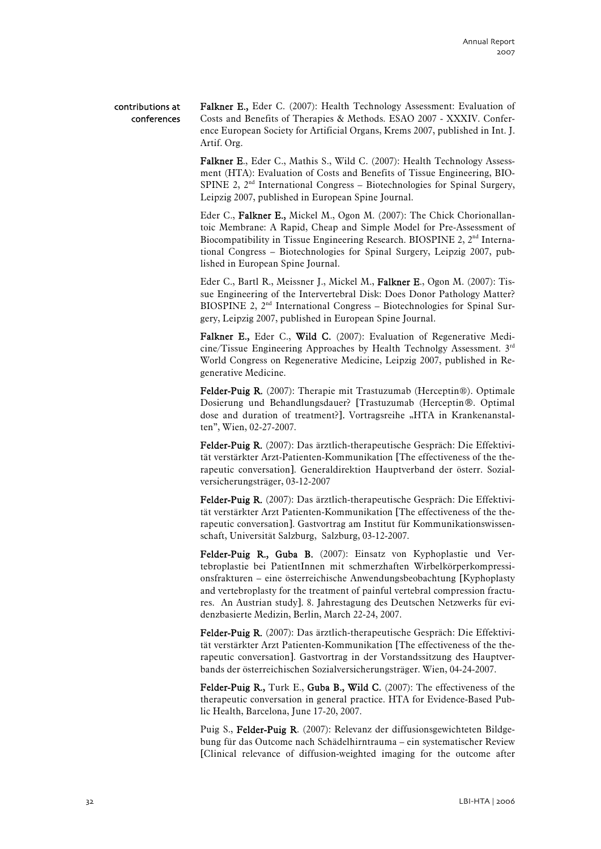#### contributions at conferences

Falkner E., Eder C. (2007): Health Technology Assessment: Evaluation of Costs and Benefits of Therapies & Methods. ESAO 2007 - XXXIV. Conference European Society for Artificial Organs, Krems 2007, published in Int. J. Artif. Org.

Falkner E., Eder C., Mathis S., Wild C. (2007): Health Technology Assessment (HTA): Evaluation of Costs and Benefits of Tissue Engineering, BIO-SPINE 2, 2<sup>nd</sup> International Congress – Biotechnologies for Spinal Surgery, Leipzig 2007, published in European Spine Journal.

Eder C., Falkner E., Mickel M., Ogon M. (2007): The Chick Chorionallantoic Membrane: A Rapid, Cheap and Simple Model for Pre-Assessment of Biocompatibility in Tissue Engineering Research. BIOSPINE 2, 2<sup>nd</sup> International Congress – Biotechnologies for Spinal Surgery, Leipzig 2007, published in European Spine Journal.

Eder C., Bartl R., Meissner J., Mickel M., Falkner E., Ogon M. (2007): Tissue Engineering of the Intervertebral Disk: Does Donor Pathology Matter? BIOSPINE 2, 2<sup>nd</sup> International Congress - Biotechnologies for Spinal Surgery, Leipzig 2007, published in European Spine Journal.

Falkner E., Eder C., Wild C. (2007): Evaluation of Regenerative Medicine/Tissue Engineering Approaches by Health Technolgy Assessment. 3rd World Congress on Regenerative Medicine, Leipzig 2007, published in Regenerative Medicine.

Felder-Puig R. (2007): Therapie mit Trastuzumab (Herceptin®). Optimale Dosierung und Behandlungsdauer? [Trastuzumab (Herceptin®. Optimal dose and duration of treatment?]. Vortragsreihe "HTA in Krankenanstalten", Wien, 02-27-2007.

Felder-Puig R. (2007): Das ärztlich-therapeutische Gespräch: Die Effektivität verstärkter Arzt-Patienten-Kommunikation [The effectiveness of the therapeutic conversation]. Generaldirektion Hauptverband der österr. Sozialversicherungsträger, 03-12-2007

Felder-Puig R. (2007): Das ärztlich-therapeutische Gespräch: Die Effektivität verstärkter Arzt Patienten-Kommunikation [The effectiveness of the therapeutic conversation]. Gastvortrag am Institut für Kommunikationswissenschaft, Universität Salzburg, Salzburg, 03-12-2007.

Felder-Puig R., Guba B. (2007): Einsatz von Kyphoplastie und Vertebroplastie bei PatientInnen mit schmerzhaften Wirbelkörperkompressionsfrakturen – eine österreichische Anwendungsbeobachtung [Kyphoplasty and vertebroplasty for the treatment of painful vertebral compression fractures. An Austrian study]. 8. Jahrestagung des Deutschen Netzwerks für evidenzbasierte Medizin, Berlin, March 22-24, 2007.

Felder-Puig R. (2007): Das ärztlich-therapeutische Gespräch: Die Effektivität verstärkter Arzt Patienten-Kommunikation [The effectiveness of the therapeutic conversation]. Gastvortrag in der Vorstandssitzung des Hauptverbands der österreichischen Sozialversicherungsträger. Wien, 04-24-2007.

Felder-Puig R., Turk E., Guba B., Wild C. (2007): The effectiveness of the therapeutic conversation in general practice. HTA for Evidence-Based Public Health, Barcelona, June 17-20, 2007.

Puig S., Felder-Puig R. (2007): Relevanz der diffusionsgewichteten Bildgebung für das Outcome nach Schädelhirntrauma – ein systematischer Review [Clinical relevance of diffusion-weighted imaging for the outcome after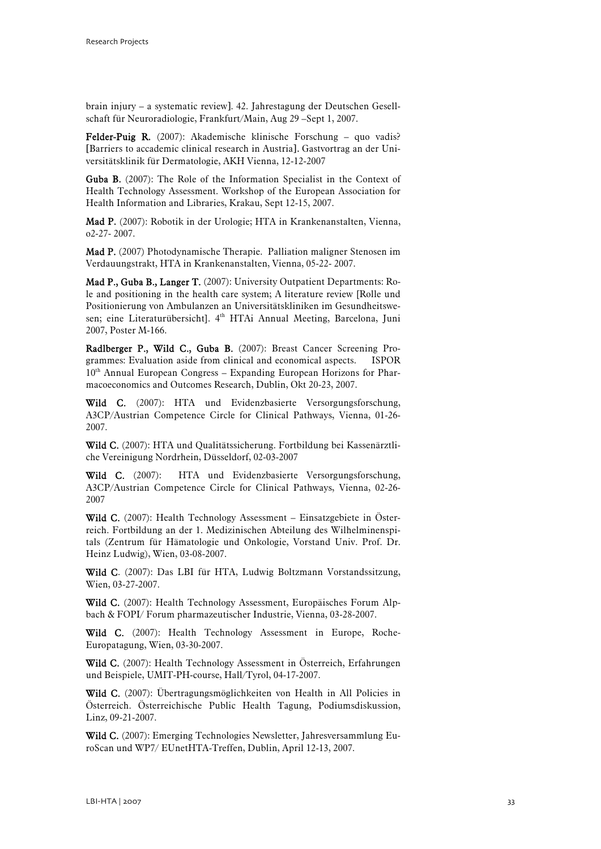brain injury – a systematic review]. 42. Jahrestagung der Deutschen Gesellschaft für Neuroradiologie, Frankfurt/Main, Aug 29 –Sept 1, 2007.

Felder-Puig R. (2007): Akademische klinische Forschung – quo vadis? [Barriers to accademic clinical research in Austria]. Gastvortrag an der Universitätsklinik für Dermatologie, AKH Vienna, 12-12-2007

Guba B. (2007): The Role of the Information Specialist in the Context of Health Technology Assessment. Workshop of the European Association for Health Information and Libraries, Krakau, Sept 12-15, 2007.

Mad P. (2007): Robotik in der Urologie; HTA in Krankenanstalten, Vienna, o2-27- 2007.

Mad P. (2007) Photodynamische Therapie. Palliation maligner Stenosen im Verdauungstrakt, HTA in Krankenanstalten, Vienna, 05-22- 2007.

Mad P., Guba B., Langer T. (2007): University Outpatient Departments: Role and positioning in the health care system; A literature review [Rolle und Positionierung von Ambulanzen an Universitätskliniken im Gesundheitswesen; eine Literaturübersicht]. 4<sup>th</sup> HTAi Annual Meeting, Barcelona, Juni 2007, Poster M-166.

Radlberger P., Wild C., Guba B. (2007): Breast Cancer Screening Programmes: Evaluation aside from clinical and economical aspects. ISPOR  $10<sup>th</sup>$  Annual European Congress – Expanding European Horizons for Pharmacoeconomics and Outcomes Research, Dublin, Okt 20-23, 2007.

Wild C. (2007): HTA und Evidenzbasierte Versorgungsforschung, A3CP/Austrian Competence Circle for Clinical Pathways, Vienna, 01-26- 2007.

Wild C. (2007): HTA und Qualitätssicherung. Fortbildung bei Kassenärztliche Vereinigung Nordrhein, Düsseldorf, 02-03-2007

Wild C. (2007): HTA und Evidenzbasierte Versorgungsforschung, A3CP/Austrian Competence Circle for Clinical Pathways, Vienna, 02-26- 2007

Wild C. (2007): Health Technology Assessment – Einsatzgebiete in Österreich. Fortbildung an der 1. Medizinischen Abteilung des Wilhelminenspitals (Zentrum für Hämatologie und Onkologie, Vorstand Univ. Prof. Dr. Heinz Ludwig), Wien, 03-08-2007.

Wild C. (2007): Das LBI für HTA, Ludwig Boltzmann Vorstandssitzung, Wien, 03-27-2007.

Wild C. (2007): Health Technology Assessment, Europäisches Forum Alpbach & FOPI/ Forum pharmazeutischer Industrie, Vienna, 03-28-2007.

Wild C. (2007): Health Technology Assessment in Europe, Roche-Europatagung, Wien, 03-30-2007.

Wild C. (2007): Health Technology Assessment in Österreich, Erfahrungen und Beispiele, UMIT-PH-course, Hall/Tyrol, 04-17-2007.

Wild C. (2007): Übertragungsmöglichkeiten von Health in All Policies in Österreich. Österreichische Public Health Tagung, Podiumsdiskussion, Linz, 09-21-2007.

Wild C. (2007): Emerging Technologies Newsletter, Jahresversammlung EuroScan und WP7/ EUnetHTA-Treffen, Dublin, April 12-13, 2007.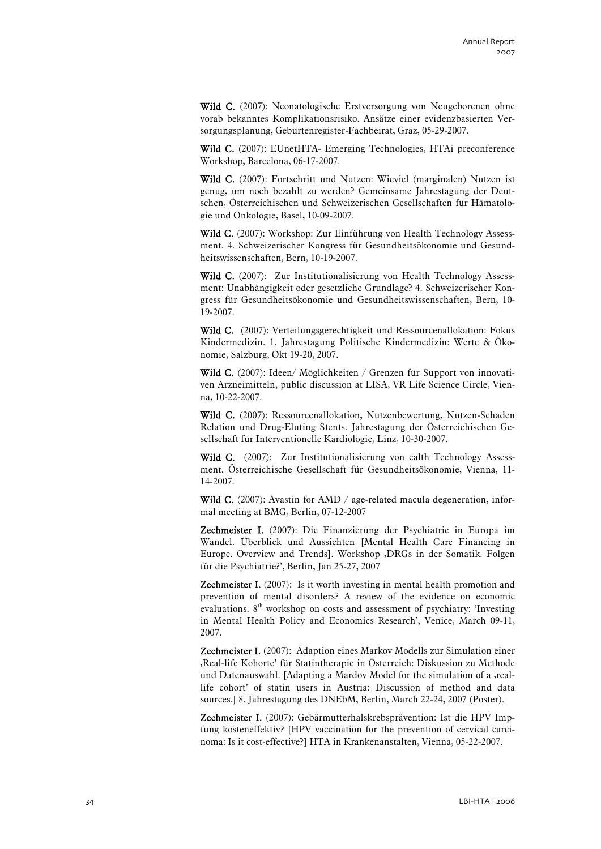Wild C. (2007): Neonatologische Erstversorgung von Neugeborenen ohne vorab bekanntes Komplikationsrisiko. Ansätze einer evidenzbasierten Versorgungsplanung, Geburtenregister-Fachbeirat, Graz, 05-29-2007.

Wild C. (2007): EUnetHTA- Emerging Technologies, HTAi preconference Workshop, Barcelona, 06-17-2007.

Wild C. (2007): Fortschritt und Nutzen: Wieviel (marginalen) Nutzen ist genug, um noch bezahlt zu werden? Gemeinsame Jahrestagung der Deutschen, Österreichischen und Schweizerischen Gesellschaften für Hämatologie und Onkologie, Basel, 10-09-2007.

Wild C. (2007): Workshop: Zur Einführung von Health Technology Assessment. 4. Schweizerischer Kongress für Gesundheitsökonomie und Gesundheitswissenschaften, Bern, 10-19-2007.

Wild C. (2007): Zur Institutionalisierung von Health Technology Assessment: Unabhängigkeit oder gesetzliche Grundlage? 4. Schweizerischer Kongress für Gesundheitsökonomie und Gesundheitswissenschaften, Bern, 10- 19-2007.

Wild C. (2007): Verteilungsgerechtigkeit und Ressourcenallokation: Fokus Kindermedizin. 1. Jahrestagung Politische Kindermedizin: Werte & Ökonomie, Salzburg, Okt 19-20, 2007.

Wild C. (2007): Ideen/ Möglichkeiten / Grenzen für Support von innovativen Arzneimitteln, public discussion at LISA, VR Life Science Circle, Vienna, 10-22-2007.

Wild C. (2007): Ressourcenallokation, Nutzenbewertung, Nutzen-Schaden Relation und Drug-Eluting Stents. Jahrestagung der Österreichischen Gesellschaft für Interventionelle Kardiologie, Linz, 10-30-2007.

Wild C. (2007): Zur Institutionalisierung von ealth Technology Assessment. Österreichische Gesellschaft für Gesundheitsökonomie, Vienna, 11- 14-2007.

Wild C. (2007): Avastin for AMD / age-related macula degeneration, informal meeting at BMG, Berlin, 07-12-2007

Zechmeister I. (2007): Die Finanzierung der Psychiatrie in Europa im Wandel. Überblick und Aussichten [Mental Health Care Financing in Europe. Overview and Trends]. Workshop ,DRGs in der Somatik. Folgen für die Psychiatrie?', Berlin, Jan 25-27, 2007

**Zechmeister I.** (2007): Is it worth investing in mental health promotion and prevention of mental disorders? A review of the evidence on economic evaluations.  $8<sup>th</sup>$  workshop on costs and assessment of psychiatry: 'Investing in Mental Health Policy and Economics Research', Venice, March 09-11, 2007.

Zechmeister I. (2007): Adaption eines Markov Modells zur Simulation einer 'Real-life Kohorte' für Statintherapie in Österreich: Diskussion zu Methode und Datenauswahl. [Adapting a Mardov Model for the simulation of a ,reallife cohort' of statin users in Austria: Discussion of method and data sources.] 8. Jahrestagung des DNEbM, Berlin, March 22-24, 2007 (Poster).

Zechmeister I. (2007): Gebärmutterhalskrebsprävention: Ist die HPV Impfung kosteneffektiv? [HPV vaccination for the prevention of cervical carcinoma: Is it cost-effective?] HTA in Krankenanstalten, Vienna, 05-22-2007.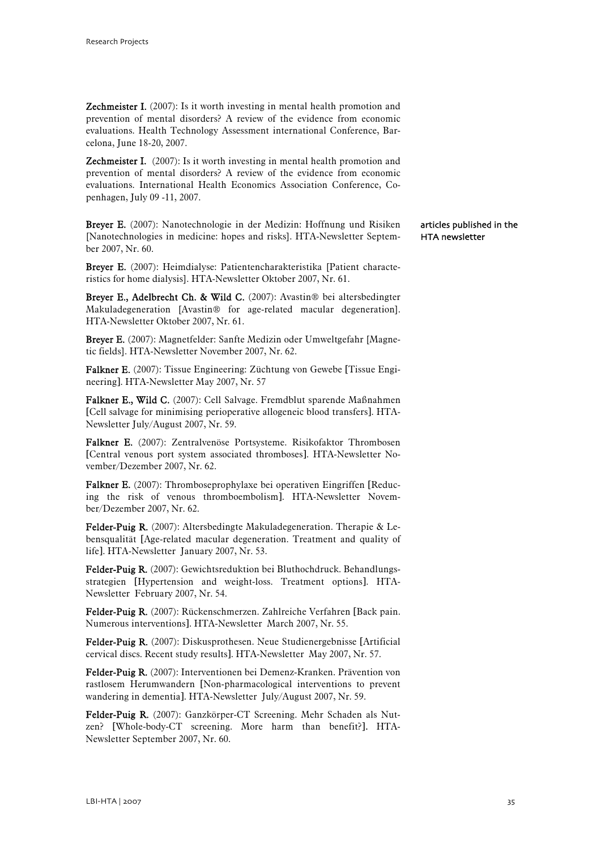**Zechmeister I.** (2007): Is it worth investing in mental health promotion and prevention of mental disorders? A review of the evidence from economic evaluations. Health Technology Assessment international Conference, Barcelona, June 18-20, 2007.

**Zechmeister I.** (2007): Is it worth investing in mental health promotion and prevention of mental disorders? A review of the evidence from economic evaluations. International Health Economics Association Conference, Copenhagen, July 09 -11, 2007.

Breyer E. (2007): Nanotechnologie in der Medizin: Hoffnung und Risiken [Nanotechnologies in medicine: hopes and risks]. HTA-Newsletter September 2007, Nr. 60.

Breyer E. (2007): Heimdialyse: Patientencharakteristika [Patient characteristics for home dialysis]. HTA-Newsletter Oktober 2007, Nr. 61.

Breyer E., Adelbrecht Ch. & Wild C. (2007): Avastin® bei altersbedingter Makuladegeneration [Avastin® for age-related macular degeneration]. HTA-Newsletter Oktober 2007, Nr. 61.

Breyer E. (2007): Magnetfelder: Sanfte Medizin oder Umweltgefahr [Magnetic fields]. HTA-Newsletter November 2007, Nr. 62.

Falkner E. (2007): Tissue Engineering: Züchtung von Gewebe [Tissue Engineering]. HTA-Newsletter May 2007, Nr. 57

Falkner E., Wild C. (2007): Cell Salvage. Fremdblut sparende Maßnahmen [Cell salvage for minimising perioperative allogeneic blood transfers]. HTA-Newsletter July/August 2007, Nr. 59.

Falkner E. (2007): Zentralvenöse Portsysteme. Risikofaktor Thrombosen [Central venous port system associated thromboses]. HTA-Newsletter November/Dezember 2007, Nr. 62.

Falkner E. (2007): Thromboseprophylaxe bei operativen Eingriffen [Reducing the risk of venous thromboembolism]. HTA-Newsletter November/Dezember 2007, Nr. 62.

Felder-Puig R. (2007): Altersbedingte Makuladegeneration. Therapie & Lebensqualität [Age-related macular degeneration. Treatment and quality of life]. HTA-Newsletter January 2007, Nr. 53.

Felder-Puig R. (2007): Gewichtsreduktion bei Bluthochdruck. Behandlungsstrategien [Hypertension and weight-loss. Treatment options]. HTA-Newsletter February 2007, Nr. 54.

Felder-Puig R. (2007): Rückenschmerzen. Zahlreiche Verfahren [Back pain. Numerous interventions]. HTA-Newsletter March 2007, Nr. 55.

Felder-Puig R. (2007): Diskusprothesen. Neue Studienergebnisse [Artificial cervical discs. Recent study results]. HTA-Newsletter May 2007, Nr. 57.

Felder-Puig R. (2007): Interventionen bei Demenz-Kranken. Prävention von rastlosem Herumwandern [Non-pharmacological interventions to prevent wandering in dementia]. HTA-Newsletter July/August 2007, Nr. 59.

Felder-Puig R. (2007): Ganzkörper-CT Screening. Mehr Schaden als Nutzen? [Whole-body-CT screening. More harm than benefit?]. HTA-Newsletter September 2007, Nr. 60.

articles published in the HTA newsletter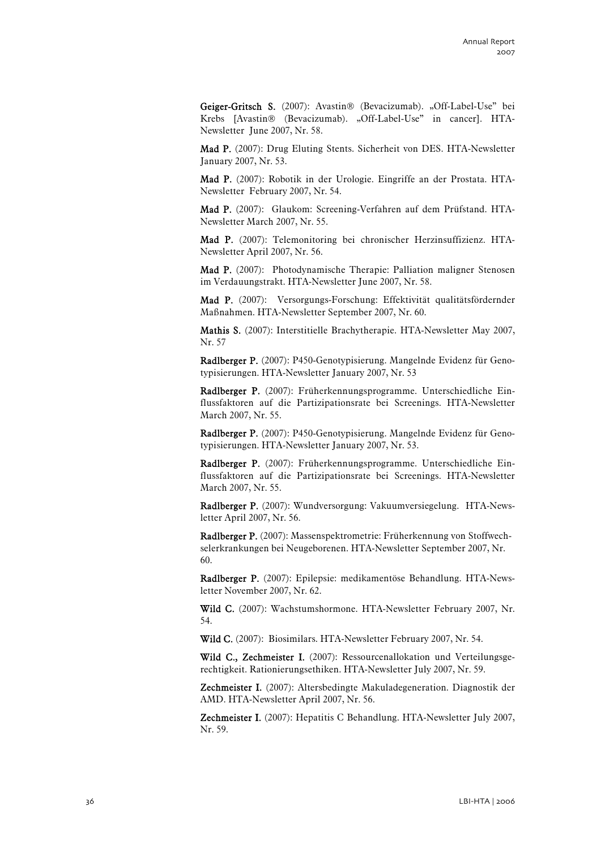Geiger-Gritsch S. (2007): Avastin® (Bevacizumab). "Off-Label-Use" bei Krebs [Avastin® (Bevacizumab). "Off-Label-Use" in cancer]. HTA-Newsletter June 2007, Nr. 58.

Mad P. (2007): Drug Eluting Stents. Sicherheit von DES. HTA-Newsletter January 2007, Nr. 53.

Mad P. (2007): Robotik in der Urologie. Eingriffe an der Prostata. HTA-Newsletter February 2007, Nr. 54.

Mad P. (2007): Glaukom: Screening-Verfahren auf dem Prüfstand. HTA-Newsletter March 2007, Nr. 55.

Mad P. (2007): Telemonitoring bei chronischer Herzinsuffizienz. HTA-Newsletter April 2007, Nr. 56.

Mad P. (2007): Photodynamische Therapie: Palliation maligner Stenosen im Verdauungstrakt. HTA-Newsletter June 2007, Nr. 58.

Mad P. (2007): Versorgungs-Forschung: Effektivität qualitätsfördernder Maßnahmen. HTA-Newsletter September 2007, Nr. 60.

Mathis S. (2007): Interstitielle Brachytherapie. HTA-Newsletter May 2007, Nr. 57

Radlberger P. (2007): P450-Genotypisierung. Mangelnde Evidenz für Genotypisierungen. HTA-Newsletter January 2007, Nr. 53

Radlberger P. (2007): Früherkennungsprogramme. Unterschiedliche Einflussfaktoren auf die Partizipationsrate bei Screenings. HTA-Newsletter March 2007, Nr. 55.

Radlberger P. (2007): P450-Genotypisierung. Mangelnde Evidenz für Genotypisierungen. HTA-Newsletter January 2007, Nr. 53.

Radlberger P. (2007): Früherkennungsprogramme. Unterschiedliche Einflussfaktoren auf die Partizipationsrate bei Screenings. HTA-Newsletter March 2007, Nr. 55.

Radlberger P. (2007): Wundversorgung: Vakuumversiegelung. HTA-Newsletter April 2007, Nr. 56.

Radlberger P. (2007): Massenspektrometrie: Früherkennung von Stoffwechselerkrankungen bei Neugeborenen. HTA-Newsletter September 2007, Nr. 60.

Radlberger P. (2007): Epilepsie: medikamentöse Behandlung. HTA-Newsletter November 2007, Nr. 62.

Wild C. (2007): Wachstumshormone. HTA-Newsletter February 2007, Nr. 54.

Wild C. (2007): Biosimilars. HTA-Newsletter February 2007, Nr. 54.

Wild C., Zechmeister I. (2007): Ressourcenallokation und Verteilungsgerechtigkeit. Rationierungsethiken. HTA-Newsletter July 2007, Nr. 59.

Zechmeister I. (2007): Altersbedingte Makuladegeneration. Diagnostik der AMD. HTA-Newsletter April 2007, Nr. 56.

Zechmeister I. (2007): Hepatitis C Behandlung. HTA-Newsletter July 2007, Nr. 59.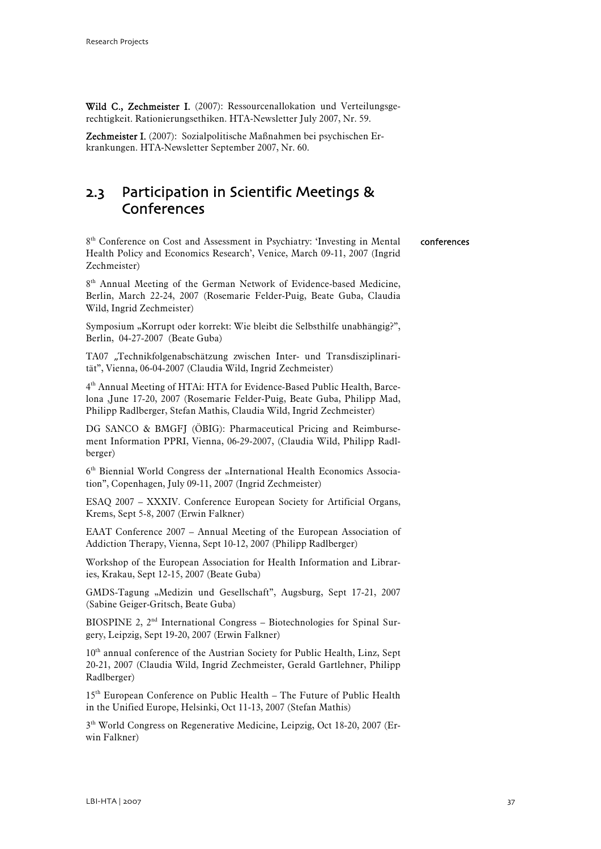<span id="page-38-0"></span>Wild C., Zechmeister I. (2007): Ressourcenallokation und Verteilungsgerechtigkeit. Rationierungsethiken. HTA-Newsletter July 2007, Nr. 59.

Zechmeister I. (2007): Sozialpolitische Maßnahmen bei psychischen Erkrankungen. HTA-Newsletter September 2007, Nr. 60.

### 2.3 Participation in Scientific Meetings & Conferences

8<sup>th</sup> Conference on Cost and Assessment in Psychiatry: 'Investing in Mental Health Policy and Economics Research', Venice, March 09-11, 2007 (Ingrid Zechmeister) conferences

8<sup>th</sup> Annual Meeting of the German Network of Evidence-based Medicine, Berlin, March 22-24, 2007 (Rosemarie Felder-Puig, Beate Guba, Claudia Wild, Ingrid Zechmeister)

Symposium "Korrupt oder korrekt: Wie bleibt die Selbsthilfe unabhängig?", Berlin, 04-27-2007 (Beate Guba)

TA07 "Technikfolgenabschätzung zwischen Inter- und Transdisziplinarität", Vienna, 06-04-2007 (Claudia Wild, Ingrid Zechmeister)

4th Annual Meeting of HTAi: HTA for Evidence-Based Public Health, Barcelona ,June 17-20, 2007 (Rosemarie Felder-Puig, Beate Guba, Philipp Mad, Philipp Radlberger, Stefan Mathis, Claudia Wild, Ingrid Zechmeister)

DG SANCO & BMGFJ (ÖBIG): Pharmaceutical Pricing and Reimbursement Information PPRI, Vienna, 06-29-2007, (Claudia Wild, Philipp Radlberger)

6<sup>th</sup> Biennial World Congress der "International Health Economics Association", Copenhagen, July 09-11, 2007 (Ingrid Zechmeister)

ESAQ 2007 – XXXIV. Conference European Society for Artificial Organs, Krems, Sept 5-8, 2007 (Erwin Falkner)

EAAT Conference 2007 – Annual Meeting of the European Association of Addiction Therapy, Vienna, Sept 10-12, 2007 (Philipp Radlberger)

Workshop of the European Association for Health Information and Libraries, Krakau, Sept 12-15, 2007 (Beate Guba)

GMDS-Tagung "Medizin und Gesellschaft", Augsburg, Sept 17-21, 2007 (Sabine Geiger-Gritsch, Beate Guba)

BIOSPINE 2, 2<sup>nd</sup> International Congress - Biotechnologies for Spinal Surgery, Leipzig, Sept 19-20, 2007 (Erwin Falkner)

10<sup>th</sup> annual conference of the Austrian Society for Public Health, Linz, Sept 20-21, 2007 (Claudia Wild, Ingrid Zechmeister, Gerald Gartlehner, Philipp Radlberger)

15<sup>th</sup> European Conference on Public Health – The Future of Public Health in the Unified Europe, Helsinki, Oct 11-13, 2007 (Stefan Mathis)

3<sup>th</sup> World Congress on Regenerative Medicine, Leipzig, Oct 18-20, 2007 (Erwin Falkner)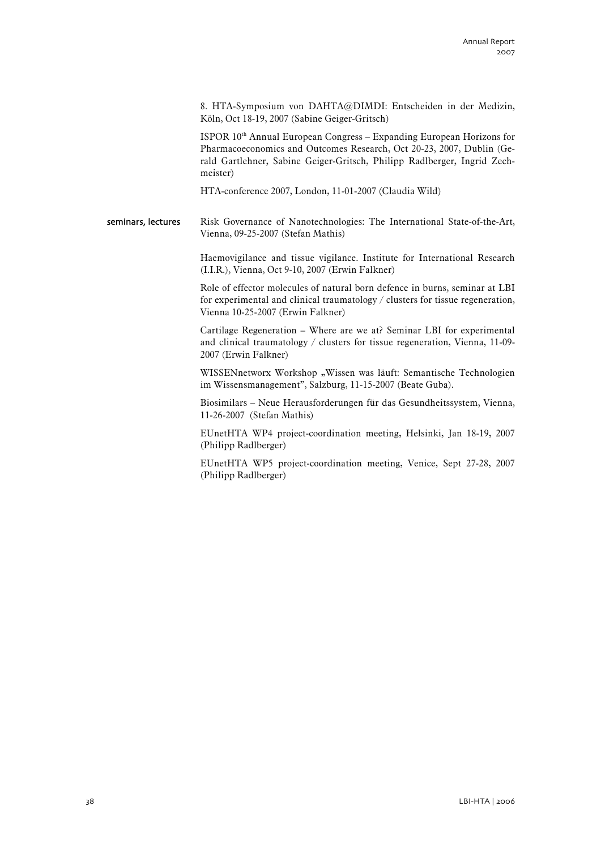8. HTA-Symposium von DAHTA@DIMDI: Entscheiden in der Medizin, Köln, Oct 18-19, 2007 (Sabine Geiger-Gritsch)

ISPOR  $10<sup>th</sup>$  Annual European Congress – Expanding European Horizons for Pharmacoeconomics and Outcomes Research, Oct 20-23, 2007, Dublin (Gerald Gartlehner, Sabine Geiger-Gritsch, Philipp Radlberger, Ingrid Zechmeister)

HTA-conference 2007, London, 11-01-2007 (Claudia Wild)

Risk Governance of Nanotechnologies: The International State-of-the-Art, Vienna, 09-25-2007 (Stefan Mathis) seminars, lectures

> Haemovigilance and tissue vigilance. Institute for International Research (I.I.R.), Vienna, Oct 9-10, 2007 (Erwin Falkner)

Role of effector molecules of natural born defence in burns, seminar at LBI for experimental and clinical traumatology / clusters for tissue regeneration, Vienna 10-25-2007 (Erwin Falkner)

Cartilage Regeneration – Where are we at? Seminar LBI for experimental and clinical traumatology / clusters for tissue regeneration, Vienna, 11-09- 2007 (Erwin Falkner)

WISSENnetworx Workshop "Wissen was läuft: Semantische Technologien im Wissensmanagement", Salzburg, 11-15-2007 (Beate Guba).

Biosimilars – Neue Herausforderungen für das Gesundheitssystem, Vienna, 11-26-2007 (Stefan Mathis)

EUnetHTA WP4 project-coordination meeting, Helsinki, Jan 18-19, 2007 (Philipp Radlberger)

EUnetHTA WP5 project-coordination meeting, Venice, Sept 27-28, 2007 (Philipp Radlberger)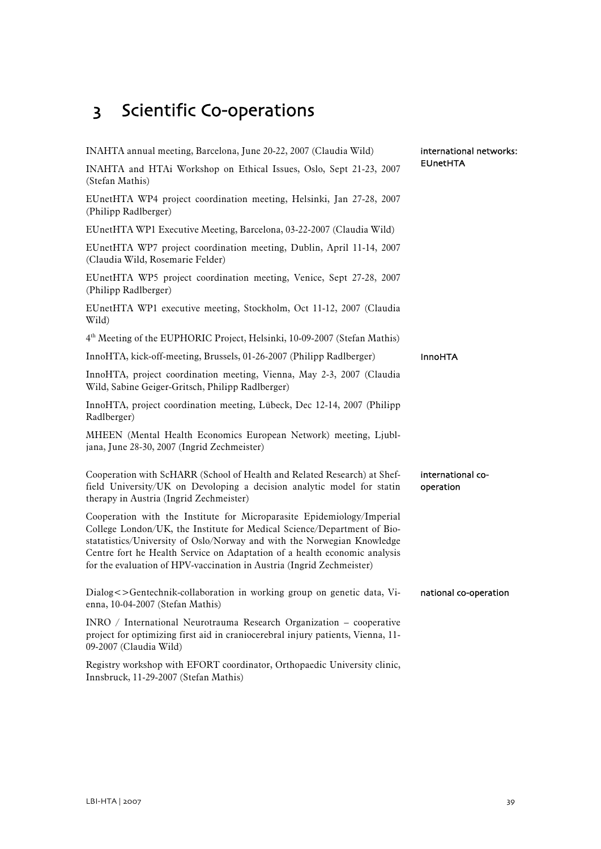# <span id="page-40-0"></span>3 Scientific Co-operations

| INAHTA annual meeting, Barcelona, June 20-22, 2007 (Claudia Wild)                                                                                                                                                                                                                                                                                                                  | international networks:        |  |
|------------------------------------------------------------------------------------------------------------------------------------------------------------------------------------------------------------------------------------------------------------------------------------------------------------------------------------------------------------------------------------|--------------------------------|--|
| INAHTA and HTAi Workshop on Ethical Issues, Oslo, Sept 21-23, 2007<br>(Stefan Mathis)                                                                                                                                                                                                                                                                                              | <b>EUnetHTA</b>                |  |
| EUnetHTA WP4 project coordination meeting, Helsinki, Jan 27-28, 2007<br>(Philipp Radlberger)                                                                                                                                                                                                                                                                                       |                                |  |
| EUnetHTA WP1 Executive Meeting, Barcelona, 03-22-2007 (Claudia Wild)                                                                                                                                                                                                                                                                                                               |                                |  |
| EUnetHTA WP7 project coordination meeting, Dublin, April 11-14, 2007<br>(Claudia Wild, Rosemarie Felder)                                                                                                                                                                                                                                                                           |                                |  |
| EUnetHTA WP5 project coordination meeting, Venice, Sept 27-28, 2007<br>(Philipp Radlberger)                                                                                                                                                                                                                                                                                        |                                |  |
| EUnetHTA WP1 executive meeting, Stockholm, Oct 11-12, 2007 (Claudia<br>Wild)                                                                                                                                                                                                                                                                                                       |                                |  |
| 4 <sup>th</sup> Meeting of the EUPHORIC Project, Helsinki, 10-09-2007 (Stefan Mathis)                                                                                                                                                                                                                                                                                              |                                |  |
| InnoHTA, kick-off-meeting, Brussels, 01-26-2007 (Philipp Radlberger)                                                                                                                                                                                                                                                                                                               | <b>InnoHTA</b>                 |  |
| InnoHTA, project coordination meeting, Vienna, May 2-3, 2007 (Claudia<br>Wild, Sabine Geiger-Gritsch, Philipp Radlberger)                                                                                                                                                                                                                                                          |                                |  |
| InnoHTA, project coordination meeting, Lübeck, Dec 12-14, 2007 (Philipp<br>Radlberger)                                                                                                                                                                                                                                                                                             |                                |  |
| MHEEN (Mental Health Economics European Network) meeting, Ljubl-<br>jana, June 28-30, 2007 (Ingrid Zechmeister)                                                                                                                                                                                                                                                                    |                                |  |
| Cooperation with ScHARR (School of Health and Related Research) at Shef-<br>field University/UK on Devoloping a decision analytic model for statin<br>therapy in Austria (Ingrid Zechmeister)                                                                                                                                                                                      | international co-<br>operation |  |
| Cooperation with the Institute for Microparasite Epidemiology/Imperial<br>College London/UK, the Institute for Medical Science/Department of Bio-<br>statatistics/University of Oslo/Norway and with the Norwegian Knowledge<br>Centre fort he Health Service on Adaptation of a health economic analysis<br>for the evaluation of HPV-vaccination in Austria (Ingrid Zechmeister) |                                |  |
| Dialog<>Gentechnik-collaboration in working group on genetic data, Vi-<br>enna, 10-04-2007 (Stefan Mathis)                                                                                                                                                                                                                                                                         | national co-operation          |  |
| INRO / International Neurotrauma Research Organization - cooperative<br>project for optimizing first aid in craniocerebral injury patients, Vienna, 11-<br>09-2007 (Claudia Wild)                                                                                                                                                                                                  |                                |  |
| Registry workshop with EFORT coordinator, Orthopaedic University clinic,                                                                                                                                                                                                                                                                                                           |                                |  |

Innsbruck, 11-29-2007 (Stefan Mathis)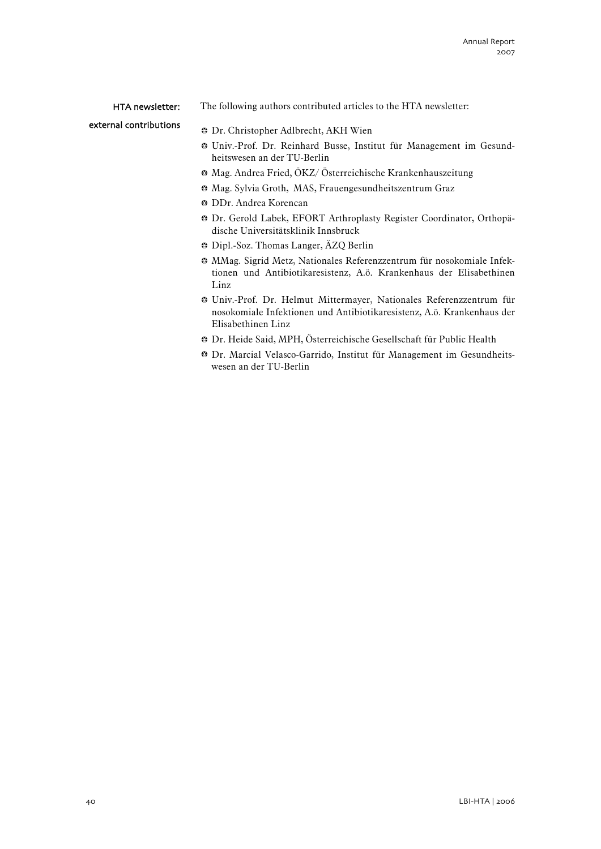#### HTA newsletter:

The following authors contributed articles to the HTA newsletter:

external contributions

- **Dr. Christopher Adlbrecht, AKH Wien**
- b Univ.-Prof. Dr. Reinhard Busse, Institut für Management im Gesundheitswesen an der TU-Berlin
- $\bullet$  Mag. Andrea Fried, ÖKZ/ Österreichische Krankenhauszeitung
- $\bullet$  Mag. Sylvia Groth, MAS, Frauengesundheitszentrum Graz
- <sup>●</sup> DDr. Andrea Korencan
- $\bullet$  Dr. Gerold Labek, EFORT Arthroplasty Register Coordinator, Orthopädische Universitätsklinik Innsbruck
- **B** Dipl.-Soz. Thomas Langer, AZQ Berlin
- b MMag. Sigrid Metz, Nationales Referenzzentrum für nosokomiale Infektionen und Antibiotikaresistenz, A.ö. Krankenhaus der Elisabethinen Linz
- b Univ.-Prof. Dr. Helmut Mittermayer, Nationales Referenzzentrum für nosokomiale Infektionen und Antibiotikaresistenz, A.ö. Krankenhaus der Elisabethinen Linz
- b Dr. Heide Said, MPH, Österreichische Gesellschaft für Public Health
- **B** Dr. Marcial Velasco-Garrido, Institut für Management im Gesundheitswesen an der TU-Berlin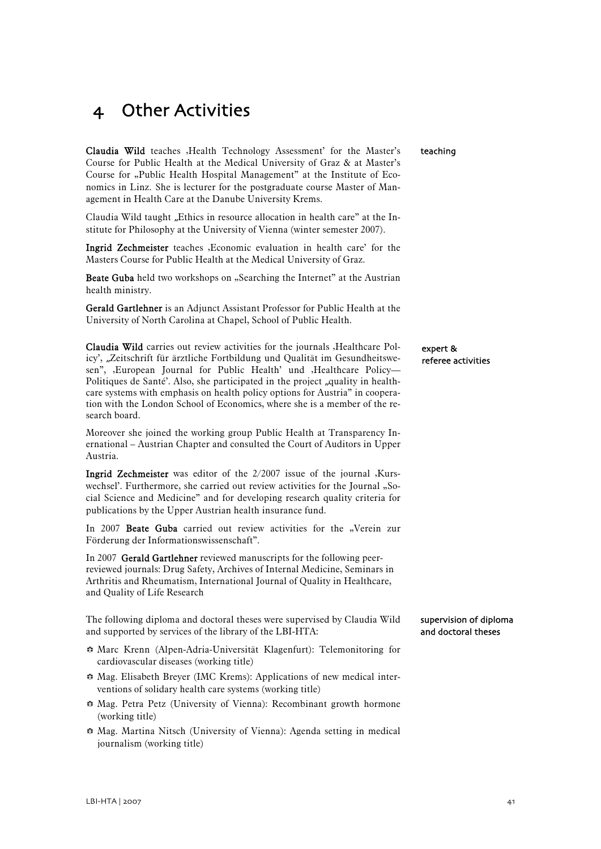# <span id="page-42-0"></span>4 Other Activities

Claudia Wild teaches , Health Technology Assessment' for the Master's Course for Public Health at the Medical University of Graz & at Master's Course for "Public Health Hospital Management" at the Institute of Economics in Linz. She is lecturer for the postgraduate course Master of Management in Health Care at the Danube University Krems.

Claudia Wild taught "Ethics in resource allocation in health care" at the Institute for Philosophy at the University of Vienna (winter semester 2007).

Ingrid Zechmeister teaches , Economic evaluation in health care' for the Masters Course for Public Health at the Medical University of Graz.

Beate Guba held two workshops on "Searching the Internet" at the Austrian health ministry.

Gerald Gartlehner is an Adjunct Assistant Professor for Public Health at the University of North Carolina at Chapel, School of Public Health.

Claudia Wild carries out review activities for the journals , Healthcare Policy', "Zeitschrift für ärztliche Fortbildung und Qualität im Gesundheitswesen", ,European Journal for Public Health' und ,Healthcare Policy-Politiques de Santé'. Also, she participated in the project "quality in healthcare systems with emphasis on health policy options for Austria" in cooperation with the London School of Economics, where she is a member of the research board.

Moreover she joined the working group Public Health at Transparency Inernational – Austrian Chapter and consulted the Court of Auditors in Upper Austria.

**Ingrid Zechmeister** was editor of the  $2/2007$  issue of the journal , Kurswechsel'. Furthermore, she carried out review activities for the Journal "Social Science and Medicine" and for developing research quality criteria for publications by the Upper Austrian health insurance fund.

In 2007 Beate Guba carried out review activities for the "Verein zur Förderung der Informationswissenschaft".

In 2007 Gerald Gartlehner reviewed manuscripts for the following peerreviewed journals: Drug Safety, Archives of Internal Medicine, Seminars in Arthritis and Rheumatism, International Journal of Quality in Healthcare, and Quality of Life Research

The following diploma and doctoral theses were supervised by Claudia Wild and supported by services of the library of the LBI-HTA:

- b Marc Krenn (Alpen-Adria-Universität Klagenfurt): Telemonitoring for cardiovascular diseases (working title)
- b Mag. Elisabeth Breyer (IMC Krems): Applications of new medical interventions of solidary health care systems (working title)
- $\div$  Mag. Petra Petz (University of Vienna): Recombinant growth hormone (working title)
- b Mag. Martina Nitsch (University of Vienna): Agenda setting in medical journalism (working title)

teaching

#### expert & referee activities

supervision of diploma and doctoral theses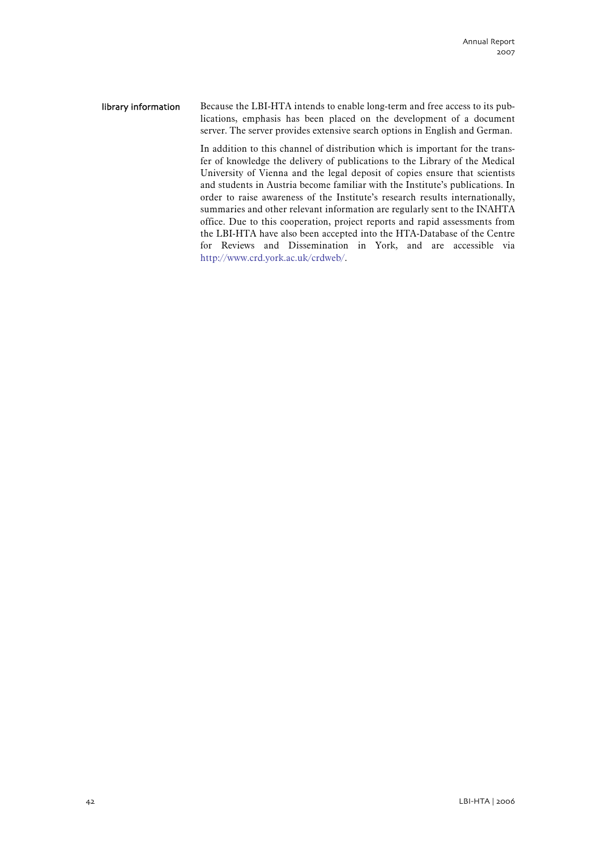Because the LBI-HTA intends to enable long-term and free access to its publications, emphasis has been placed on the development of a document server. The server provides extensive search options in English and German. library information

> In addition to this channel of distribution which is important for the transfer of knowledge the delivery of publications to the Library of the Medical University of Vienna and the legal deposit of copies ensure that scientists and students in Austria become familiar with the Institute's publications. In order to raise awareness of the Institute's research results internationally, summaries and other relevant information are regularly sent to the INAHTA office. Due to this cooperation, project reports and rapid assessments from the LBI-HTA have also been accepted into the HTA-Database of the Centre for Reviews and Dissemination in York, and are accessible via http://www.crd.york.ac.uk/crdweb/.